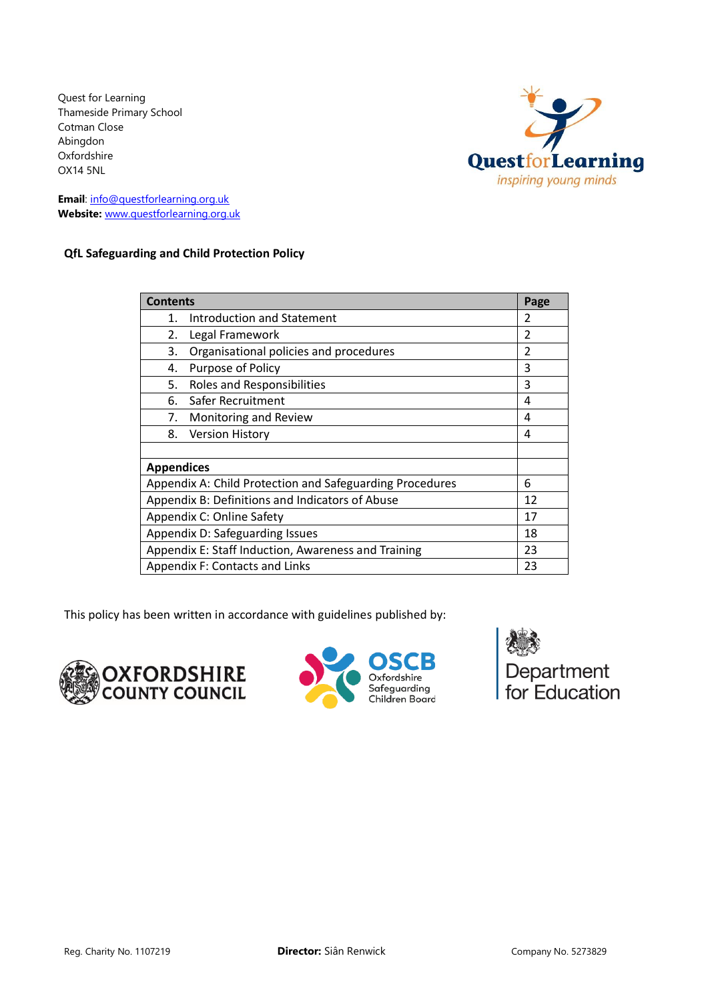Quest for Learning Thameside Primary School Cotman Close Abingdon Oxfordshire OX14 5NL



**Email**: [info@questforlearning.org.uk](mailto:info@questforlearning.org.uk) **Website:** [www.questforlearning.org.uk](http://www.questforlearning.org.uk/)

**QfL Safeguarding and Child Protection Policy**

| <b>Contents</b>                                          |               |  |  |
|----------------------------------------------------------|---------------|--|--|
| <b>Introduction and Statement</b><br>1.                  | 2             |  |  |
| Legal Framework<br>2.                                    | 2             |  |  |
| Organisational policies and procedures<br>3.             | $\mathfrak z$ |  |  |
| Purpose of Policy<br>4.                                  | 3             |  |  |
| Roles and Responsibilities<br>5.                         | 3             |  |  |
| Safer Recruitment<br>6.                                  | 4             |  |  |
| 7.<br>Monitoring and Review                              | 4             |  |  |
| 8.<br><b>Version History</b>                             | 4             |  |  |
|                                                          |               |  |  |
| <b>Appendices</b>                                        |               |  |  |
| Appendix A: Child Protection and Safeguarding Procedures |               |  |  |
| Appendix B: Definitions and Indicators of Abuse          |               |  |  |
| Appendix C: Online Safety                                |               |  |  |
| Appendix D: Safeguarding Issues                          |               |  |  |
| Appendix E: Staff Induction, Awareness and Training      |               |  |  |
| Appendix F: Contacts and Links                           |               |  |  |

This policy has been written in accordance with guidelines published by:





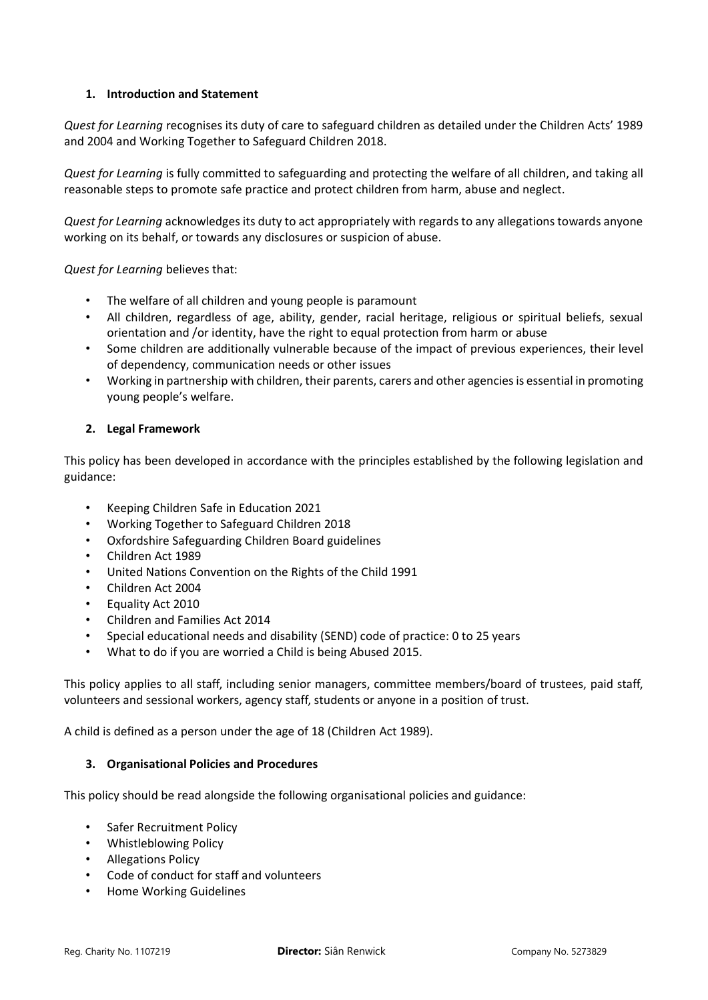## **1. Introduction and Statement**

*Quest for Learning* recognises its duty of care to safeguard children as detailed under the Children Acts' 1989 and 2004 and Working Together to Safeguard Children 2018.

*Quest for Learning* is fully committed to safeguarding and protecting the welfare of all children, and taking all reasonable steps to promote safe practice and protect children from harm, abuse and neglect.

*Quest for Learning* acknowledges its duty to act appropriately with regards to any allegations towards anyone working on its behalf, or towards any disclosures or suspicion of abuse.

*Quest for Learning* believes that:

- The welfare of all children and young people is paramount
- All children, regardless of age, ability, gender, racial heritage, religious or spiritual beliefs, sexual orientation and /or identity, have the right to equal protection from harm or abuse
- Some children are additionally vulnerable because of the impact of previous experiences, their level of dependency, communication needs or other issues
- Working in partnership with children, their parents, carers and other agencies is essential in promoting young people's welfare.

## **2. Legal Framework**

This policy has been developed in accordance with the principles established by the following legislation and guidance:

- Keeping Children Safe in Education 2021
- Working Together to Safeguard Children 2018
- Oxfordshire Safeguarding Children Board guidelines
- Children Act 1989
- United Nations Convention on the Rights of the Child 1991
- Children Act 2004
- Equality Act 2010
- Children and Families Act 2014
- Special educational needs and disability (SEND) code of practice: 0 to 25 years
- What to do if you are worried a Child is being Abused 2015.

This policy applies to all staff, including senior managers, committee members/board of trustees, paid staff, volunteers and sessional workers, agency staff, students or anyone in a position of trust.

A child is defined as a person under the age of 18 (Children Act 1989).

### **3. Organisational Policies and Procedures**

This policy should be read alongside the following organisational policies and guidance:

- Safer Recruitment Policy
- Whistleblowing Policy
- Allegations Policy
- Code of conduct for staff and volunteers
- Home Working Guidelines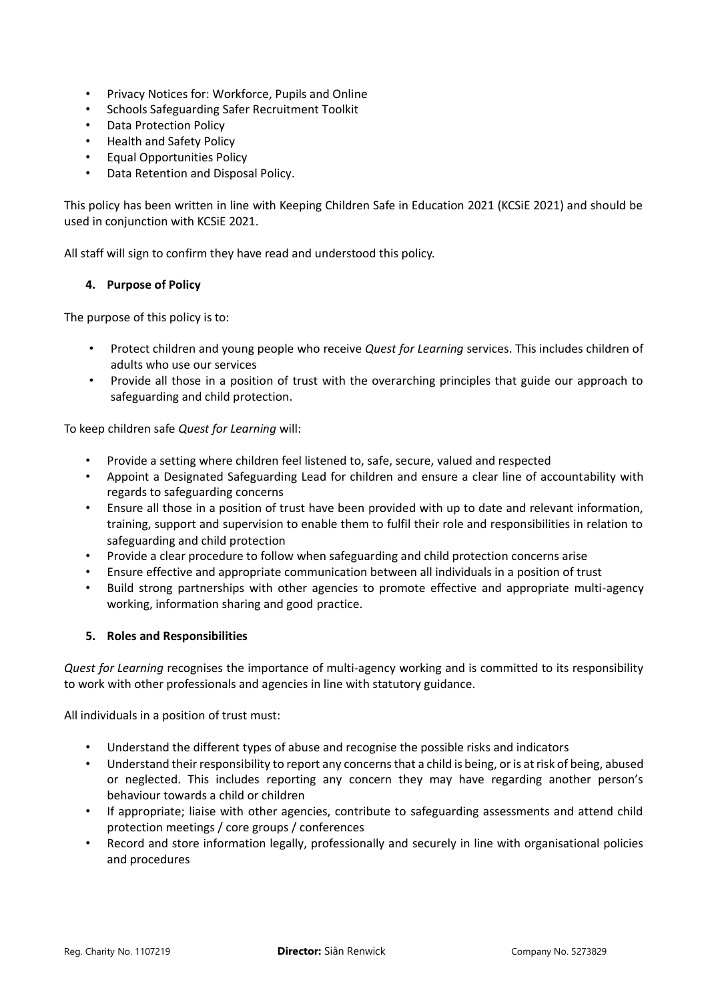- Privacy Notices for: Workforce, Pupils and Online
- Schools Safeguarding Safer Recruitment Toolkit
- Data Protection Policy
- Health and Safety Policy
- Equal Opportunities Policy
- Data Retention and Disposal Policy.

This policy has been written in line with Keeping Children Safe in Education 2021 (KCSiE 2021) and should be used in conjunction with KCSiE 2021.

All staff will sign to confirm they have read and understood this policy.

## **4. Purpose of Policy**

The purpose of this policy is to:

- Protect children and young people who receive *Quest for Learning* services. This includes children of adults who use our services
- Provide all those in a position of trust with the overarching principles that guide our approach to safeguarding and child protection.

To keep children safe *Quest for Learning* will:

- Provide a setting where children feel listened to, safe, secure, valued and respected
- Appoint a Designated Safeguarding Lead for children and ensure a clear line of accountability with regards to safeguarding concerns
- Ensure all those in a position of trust have been provided with up to date and relevant information, training, support and supervision to enable them to fulfil their role and responsibilities in relation to safeguarding and child protection
- Provide a clear procedure to follow when safeguarding and child protection concerns arise
- Ensure effective and appropriate communication between all individuals in a position of trust
- Build strong partnerships with other agencies to promote effective and appropriate multi-agency working, information sharing and good practice.

### **5. Roles and Responsibilities**

*Quest for Learning* recognises the importance of multi-agency working and is committed to its responsibility to work with other professionals and agencies in line with statutory guidance.

All individuals in a position of trust must:

- Understand the different types of abuse and recognise the possible risks and indicators
- Understand their responsibility to report any concerns that a child is being, or is at risk of being, abused or neglected. This includes reporting any concern they may have regarding another person's behaviour towards a child or children
- If appropriate; liaise with other agencies, contribute to safeguarding assessments and attend child protection meetings / core groups / conferences
- Record and store information legally, professionally and securely in line with organisational policies and procedures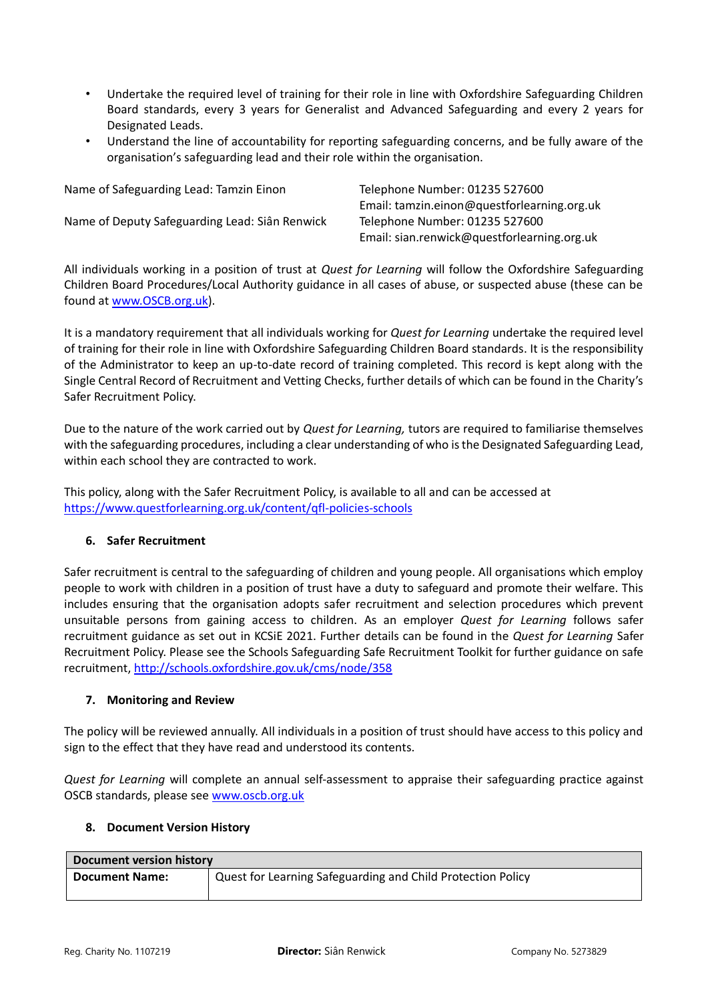- Undertake the required level of training for their role in line with Oxfordshire Safeguarding Children Board standards, every 3 years for Generalist and Advanced Safeguarding and every 2 years for Designated Leads.
- Understand the line of accountability for reporting safeguarding concerns, and be fully aware of the organisation's safeguarding lead and their role within the organisation.

| Name of Safeguarding Lead: Tamzin Einon        | Telephone Number: 01235 527600              |
|------------------------------------------------|---------------------------------------------|
|                                                | Email: tamzin.einon@questforlearning.org.uk |
| Name of Deputy Safeguarding Lead: Siân Renwick | Telephone Number: 01235 527600              |
|                                                | Email: sian.renwick@questforlearning.org.uk |

All individuals working in a position of trust at *Quest for Learning* will follow the Oxfordshire Safeguarding Children Board Procedures/Local Authority guidance in all cases of abuse, or suspected abuse (these can be found at [www.OSCB.org.uk\)](http://www.oscb.org.uk/).

It is a mandatory requirement that all individuals working for *Quest for Learning* undertake the required level of training for their role in line with Oxfordshire Safeguarding Children Board standards. It is the responsibility of the Administrator to keep an up-to-date record of training completed. This record is kept along with the Single Central Record of Recruitment and Vetting Checks, further details of which can be found in the Charity's Safer Recruitment Policy.

Due to the nature of the work carried out by *Quest for Learning,* tutors are required to familiarise themselves with the safeguarding procedures, including a clear understanding of who is the Designated Safeguarding Lead, within each school they are contracted to work.

This policy, along with the Safer Recruitment Policy, is available to all and can be accessed at <https://www.questforlearning.org.uk/content/qfl-policies-schools>

# **6. Safer Recruitment**

Safer recruitment is central to the safeguarding of children and young people. All organisations which employ people to work with children in a position of trust have a duty to safeguard and promote their welfare. This includes ensuring that the organisation adopts safer recruitment and selection procedures which prevent unsuitable persons from gaining access to children. As an employer *Quest for Learning* follows safer recruitment guidance as set out in KCSiE 2021. Further details can be found in the *Quest for Learning* Safer Recruitment Policy. Please see the Schools Safeguarding Safe Recruitment Toolkit for further guidance on safe recruitment[, http://schools.oxfordshire.gov.uk/cms/node/358](http://schools.oxfordshire.gov.uk/cms/node/358)

# **7. Monitoring and Review**

The policy will be reviewed annually. All individuals in a position of trust should have access to this policy and sign to the effect that they have read and understood its contents.

*Quest for Learning* will complete an annual self-assessment to appraise their safeguarding practice against OSCB standards, please see [www.oscb.org.uk](http://www.oscb.org.uk/)

### **8. Document Version History**

| Document version history |                                                             |  |  |  |  |
|--------------------------|-------------------------------------------------------------|--|--|--|--|
| <b>Document Name:</b>    | Quest for Learning Safeguarding and Child Protection Policy |  |  |  |  |
|                          |                                                             |  |  |  |  |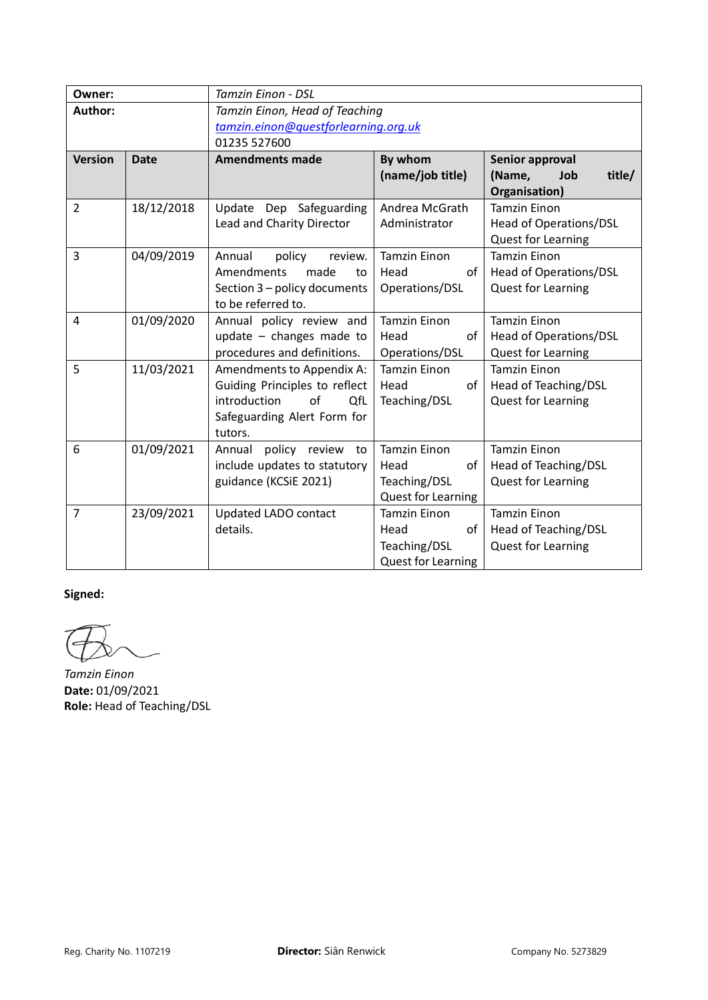| Owner:         |             | Tamzin Einon - DSL                   |                           |                           |
|----------------|-------------|--------------------------------------|---------------------------|---------------------------|
| Author:        |             | Tamzin Einon, Head of Teaching       |                           |                           |
|                |             | tamzin.einon@questforlearning.org.uk |                           |                           |
|                |             | 01235 527600                         |                           |                           |
| <b>Version</b> | <b>Date</b> | <b>Amendments made</b>               | By whom                   | Senior approval           |
|                |             |                                      | (name/job title)          | (Name,<br>title/<br>Job   |
|                |             |                                      |                           | Organisation)             |
| 2              | 18/12/2018  | Update Dep Safeguarding              | Andrea McGrath            | <b>Tamzin Einon</b>       |
|                |             | Lead and Charity Director            | Administrator             | Head of Operations/DSL    |
|                |             |                                      |                           | <b>Quest for Learning</b> |
| 3              | 04/09/2019  | Annual<br>policy<br>review.          | <b>Tamzin Einon</b>       | <b>Tamzin Einon</b>       |
|                |             | Amendments<br>made<br>to             | Head<br>of                | Head of Operations/DSL    |
|                |             | Section 3 - policy documents         | Operations/DSL            | <b>Quest for Learning</b> |
|                |             | to be referred to.                   |                           |                           |
| 4              | 01/09/2020  | Annual policy review and             | <b>Tamzin Einon</b>       | <b>Tamzin Einon</b>       |
|                |             | update $-$ changes made to           | of<br>Head                | Head of Operations/DSL    |
|                |             | procedures and definitions.          | Operations/DSL            | Quest for Learning        |
| 5              | 11/03/2021  | Amendments to Appendix A:            | <b>Tamzin Einon</b>       | <b>Tamzin Einon</b>       |
|                |             | Guiding Principles to reflect        | Head<br>of                | Head of Teaching/DSL      |
|                |             | introduction<br>$\alpha$ f<br>QfL    | Teaching/DSL              | Quest for Learning        |
|                |             | Safeguarding Alert Form for          |                           |                           |
|                |             | tutors.                              |                           |                           |
| 6              | 01/09/2021  | Annual<br>policy<br>review<br>to     | <b>Tamzin Einon</b>       | <b>Tamzin Einon</b>       |
|                |             | include updates to statutory         | Head<br>of                | Head of Teaching/DSL      |
|                |             | guidance (KCSiE 2021)                | Teaching/DSL              | Quest for Learning        |
|                |             |                                      | <b>Quest for Learning</b> |                           |
| $\overline{7}$ | 23/09/2021  | Updated LADO contact                 | <b>Tamzin Einon</b>       | <b>Tamzin Einon</b>       |
|                |             | details.                             | Head<br>of                | Head of Teaching/DSL      |
|                |             |                                      | Teaching/DSL              | Quest for Learning        |
|                |             |                                      | <b>Quest for Learning</b> |                           |

**Signed:**

*Tamzin Einon* **Date:** 01/09/2021 **Role:** Head of Teaching/DSL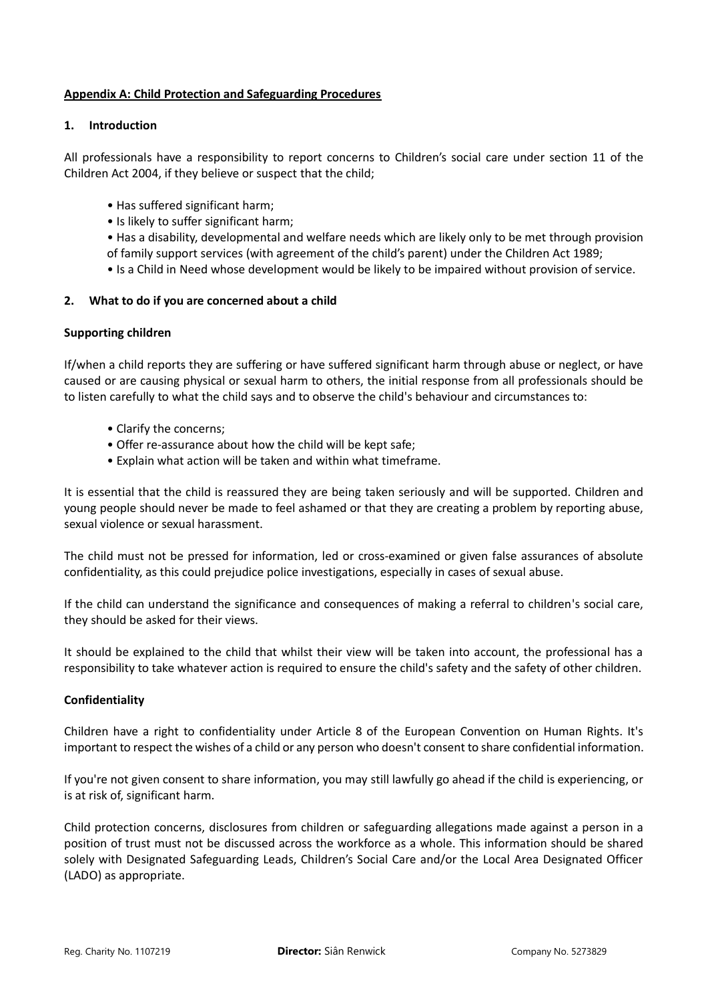### **Appendix A: Child Protection and Safeguarding Procedures**

#### **1. Introduction**

All professionals have a responsibility to report concerns to Children's social care under section 11 of the Children Act 2004, if they believe or suspect that the child;

- Has suffered significant harm;
- Is likely to suffer significant harm;
- Has a disability, developmental and welfare needs which are likely only to be met through provision of family support services (with agreement of the child's parent) under the Children Act 1989;
- Is a Child in Need whose development would be likely to be impaired without provision of service.

### **2. What to do if you are concerned about a child**

#### **Supporting children**

If/when a child reports they are suffering or have suffered significant harm through abuse or neglect, or have caused or are causing physical or sexual harm to others, the initial response from all professionals should be to listen carefully to what the child says and to observe the child's behaviour and circumstances to:

- Clarify the concerns;
- Offer re-assurance about how the child will be kept safe;
- Explain what action will be taken and within what timeframe.

It is essential that the child is reassured they are being taken seriously and will be supported. Children and young people should never be made to feel ashamed or that they are creating a problem by reporting abuse, sexual violence or sexual harassment.

The child must not be pressed for information, led or cross-examined or given false assurances of absolute confidentiality, as this could prejudice police investigations, especially in cases of sexual abuse.

If the child can understand the significance and consequences of making a referral to children's social care, they should be asked for their views.

It should be explained to the child that whilst their view will be taken into account, the professional has a responsibility to take whatever action is required to ensure the child's safety and the safety of other children.

#### **Confidentiality**

Children have a right to confidentiality under Article 8 of the European Convention on Human Rights. It's important to respect the wishes of a child or any person who doesn't consent to share confidential information.

If you're not given consent to share information, you may still lawfully go ahead if the child is experiencing, or is at risk of, significant harm.

Child protection concerns, disclosures from children or safeguarding allegations made against a person in a position of trust must not be discussed across the workforce as a whole. This information should be shared solely with Designated Safeguarding Leads, Children's Social Care and/or the Local Area Designated Officer (LADO) as appropriate.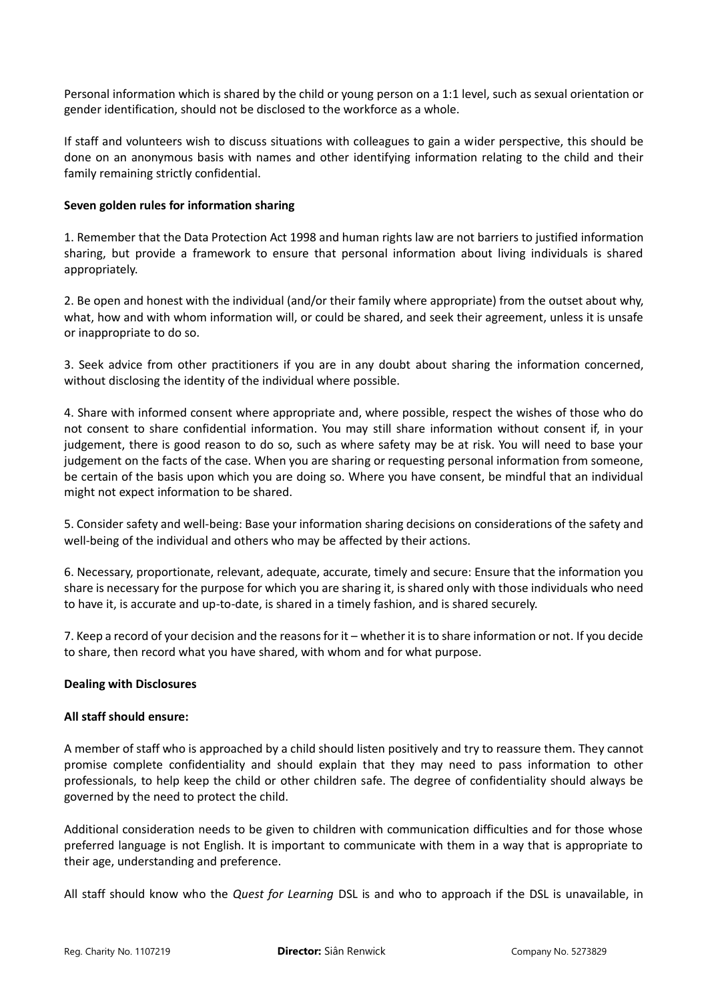Personal information which is shared by the child or young person on a 1:1 level, such as sexual orientation or gender identification, should not be disclosed to the workforce as a whole.

If staff and volunteers wish to discuss situations with colleagues to gain a wider perspective, this should be done on an anonymous basis with names and other identifying information relating to the child and their family remaining strictly confidential.

### **Seven golden rules for information sharing**

1. Remember that the Data Protection Act 1998 and human rights law are not barriers to justified information sharing, but provide a framework to ensure that personal information about living individuals is shared appropriately.

2. Be open and honest with the individual (and/or their family where appropriate) from the outset about why, what, how and with whom information will, or could be shared, and seek their agreement, unless it is unsafe or inappropriate to do so.

3. Seek advice from other practitioners if you are in any doubt about sharing the information concerned, without disclosing the identity of the individual where possible.

4. Share with informed consent where appropriate and, where possible, respect the wishes of those who do not consent to share confidential information. You may still share information without consent if, in your judgement, there is good reason to do so, such as where safety may be at risk. You will need to base your judgement on the facts of the case. When you are sharing or requesting personal information from someone, be certain of the basis upon which you are doing so. Where you have consent, be mindful that an individual might not expect information to be shared.

5. Consider safety and well-being: Base your information sharing decisions on considerations of the safety and well-being of the individual and others who may be affected by their actions.

6. Necessary, proportionate, relevant, adequate, accurate, timely and secure: Ensure that the information you share is necessary for the purpose for which you are sharing it, is shared only with those individuals who need to have it, is accurate and up-to-date, is shared in a timely fashion, and is shared securely.

7. Keep a record of your decision and the reasons for it – whether it is to share information or not. If you decide to share, then record what you have shared, with whom and for what purpose.

### **Dealing with Disclosures**

### **All staff should ensure:**

A member of staff who is approached by a child should listen positively and try to reassure them. They cannot promise complete confidentiality and should explain that they may need to pass information to other professionals, to help keep the child or other children safe. The degree of confidentiality should always be governed by the need to protect the child.

Additional consideration needs to be given to children with communication difficulties and for those whose preferred language is not English. It is important to communicate with them in a way that is appropriate to their age, understanding and preference.

All staff should know who the *Quest for Learning* DSL is and who to approach if the DSL is unavailable, in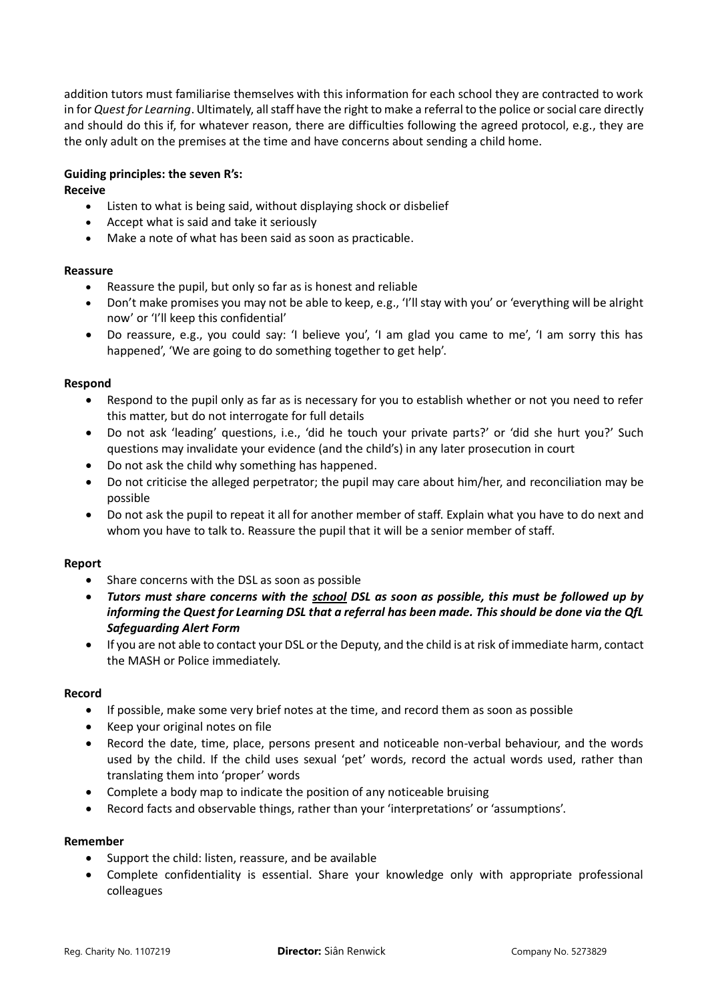addition tutors must familiarise themselves with this information for each school they are contracted to work in for *Quest for Learning*. Ultimately, all staff have the right to make a referral to the police or social care directly and should do this if, for whatever reason, there are difficulties following the agreed protocol, e.g., they are the only adult on the premises at the time and have concerns about sending a child home.

### **Guiding principles: the seven R's:**

#### **Receive**

- Listen to what is being said, without displaying shock or disbelief
- Accept what is said and take it seriously
- Make a note of what has been said as soon as practicable.

#### **Reassure**

- Reassure the pupil, but only so far as is honest and reliable
- Don't make promises you may not be able to keep, e.g., 'I'll stay with you' or 'everything will be alright now' or 'I'll keep this confidential'
- Do reassure, e.g., you could say: 'I believe you', 'I am glad you came to me', 'I am sorry this has happened', 'We are going to do something together to get help'.

#### **Respond**

- Respond to the pupil only as far as is necessary for you to establish whether or not you need to refer this matter, but do not interrogate for full details
- Do not ask 'leading' questions, i.e., 'did he touch your private parts?' or 'did she hurt you?' Such questions may invalidate your evidence (and the child's) in any later prosecution in court
- Do not ask the child why something has happened.
- Do not criticise the alleged perpetrator; the pupil may care about him/her, and reconciliation may be possible
- Do not ask the pupil to repeat it all for another member of staff. Explain what you have to do next and whom you have to talk to. Reassure the pupil that it will be a senior member of staff.

### **Report**

- Share concerns with the DSL as soon as possible
- *Tutors must share concerns with the school DSL as soon as possible, this must be followed up by informing the Quest for Learning DSL that a referral has been made. This should be done via the QfL Safeguarding Alert Form*
- If you are not able to contact your DSL or the Deputy, and the child is at risk of immediate harm, contact the MASH or Police immediately.

### **Record**

- If possible, make some very brief notes at the time, and record them as soon as possible
- Keep your original notes on file
- Record the date, time, place, persons present and noticeable non-verbal behaviour, and the words used by the child. If the child uses sexual 'pet' words, record the actual words used, rather than translating them into 'proper' words
- Complete a body map to indicate the position of any noticeable bruising
- Record facts and observable things, rather than your 'interpretations' or 'assumptions'.

### **Remember**

- Support the child: listen, reassure, and be available
- Complete confidentiality is essential. Share your knowledge only with appropriate professional colleagues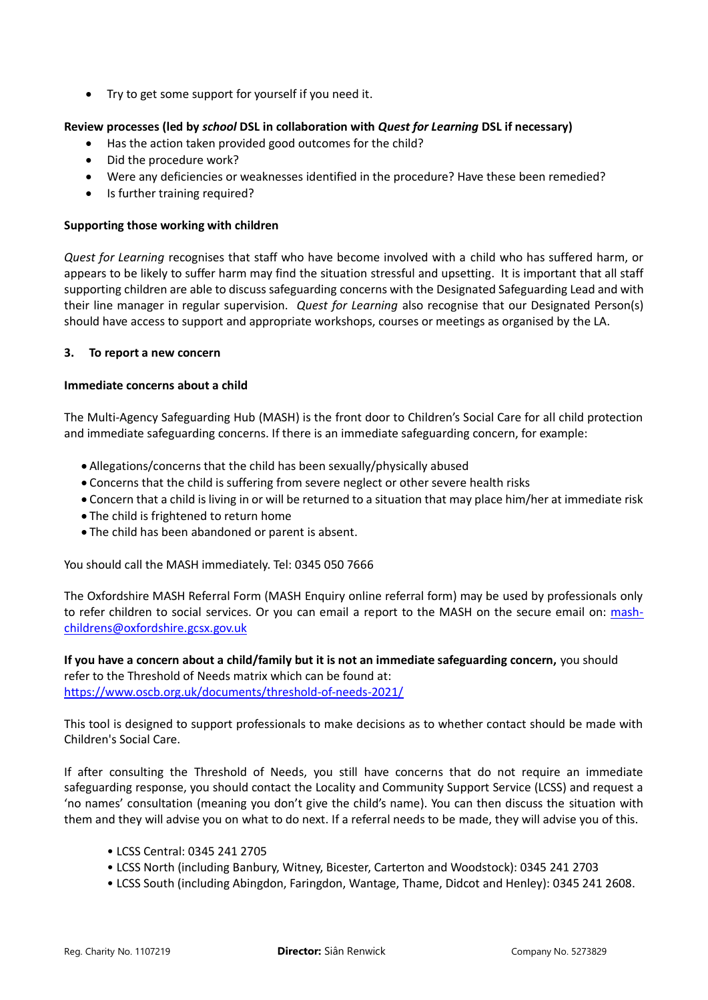• Try to get some support for yourself if you need it.

### **Review processes (led by** *school* **DSL in collaboration with** *Quest for Learning* **DSL if necessary)**

- Has the action taken provided good outcomes for the child?
- Did the procedure work?
- Were any deficiencies or weaknesses identified in the procedure? Have these been remedied?
- Is further training required?

#### **Supporting those working with children**

*Quest for Learning* recognises that staff who have become involved with a child who has suffered harm, or appears to be likely to suffer harm may find the situation stressful and upsetting. It is important that all staff supporting children are able to discuss safeguarding concerns with the Designated Safeguarding Lead and with their line manager in regular supervision. *Quest for Learning* also recognise that our Designated Person(s) should have access to support and appropriate workshops, courses or meetings as organised by the LA.

#### **3. To report a new concern**

#### **Immediate concerns about a child**

The Multi-Agency Safeguarding Hub (MASH) is the front door to Children's Social Care for all child protection and immediate safeguarding concerns. If there is an immediate safeguarding concern, for example:

- Allegations/concerns that the child has been sexually/physically abused
- Concerns that the child is suffering from severe neglect or other severe health risks
- Concern that a child is living in or will be returned to a situation that may place him/her at immediate risk
- The child is frightened to return home
- The child has been abandoned or parent is absent.

You should call the MASH immediately. Tel: 0345 050 7666

The Oxfordshire MASH Referral Form (MASH Enquiry online referral form) may be used by professionals only to refer children to social services. Or you can email a report to the MASH on the secure email on: [mash](mailto:mash-childrens@oxfordshire.gcsx.gov.uk)[childrens@oxfordshire.gcsx.gov.uk](mailto:mash-childrens@oxfordshire.gcsx.gov.uk)

**If you have a concern about a child/family but it is not an immediate safeguarding concern,** you should refer to the Threshold of Needs matrix which can be found at: <https://www.oscb.org.uk/documents/threshold-of-needs-2021/>

This tool is designed to support professionals to make decisions as to whether contact should be made with Children's Social Care.

If after consulting the Threshold of Needs, you still have concerns that do not require an immediate safeguarding response, you should contact the Locality and Community Support Service (LCSS) and request a 'no names' consultation (meaning you don't give the child's name). You can then discuss the situation with them and they will advise you on what to do next. If a referral needs to be made, they will advise you of this.

- LCSS Central: 0345 241 2705
- LCSS North (including Banbury, Witney, Bicester, Carterton and Woodstock): 0345 241 2703
- LCSS South (including Abingdon, Faringdon, Wantage, Thame, Didcot and Henley): 0345 241 2608.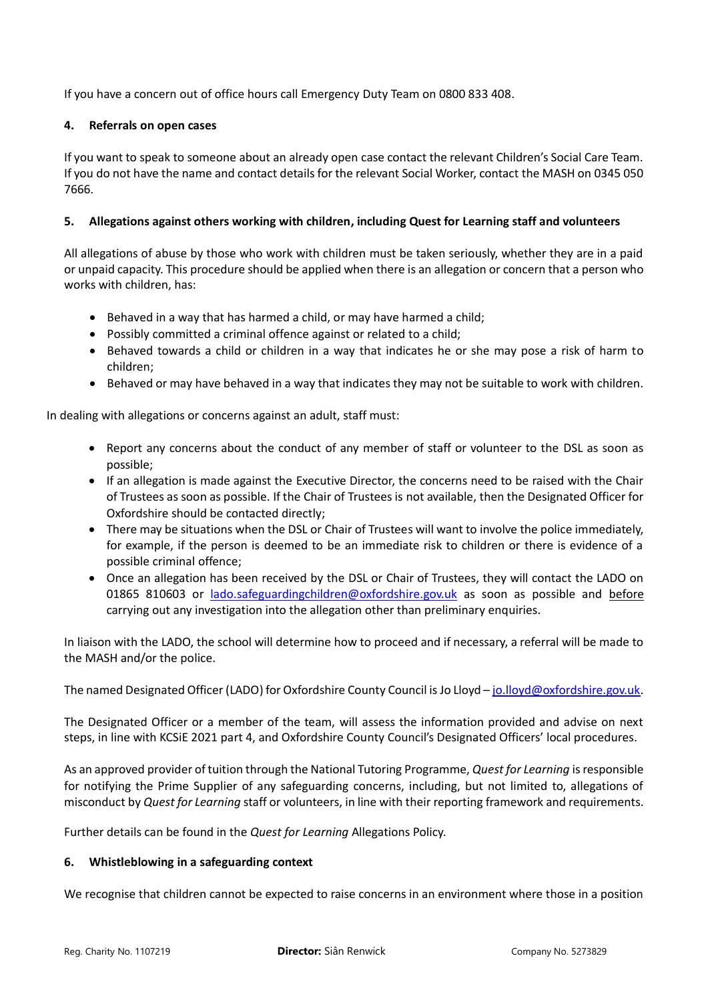If you have a concern out of office hours call Emergency Duty Team on 0800 833 408.

### **4. Referrals on open cases**

If you want to speak to someone about an already open case contact the relevant Children's Social Care Team. If you do not have the name and contact details for the relevant Social Worker, contact the MASH on 0345 050 7666.

### **5. Allegations against others working with children, including Quest for Learning staff and volunteers**

All allegations of abuse by those who work with children must be taken seriously, whether they are in a paid or unpaid capacity. This procedure should be applied when there is an allegation or concern that a person who works with children, has:

- Behaved in a way that has harmed a child, or may have harmed a child;
- Possibly committed a criminal offence against or related to a child;
- Behaved towards a child or children in a way that indicates he or she may pose a risk of harm to children;
- Behaved or may have behaved in a way that indicates they may not be suitable to work with children.

In dealing with allegations or concerns against an adult, staff must:

- Report any concerns about the conduct of any member of staff or volunteer to the DSL as soon as possible;
- If an allegation is made against the Executive Director, the concerns need to be raised with the Chair of Trustees as soon as possible. If the Chair of Trustees is not available, then the Designated Officer for Oxfordshire should be contacted directly;
- There may be situations when the DSL or Chair of Trustees will want to involve the police immediately, for example, if the person is deemed to be an immediate risk to children or there is evidence of a possible criminal offence;
- Once an allegation has been received by the DSL or Chair of Trustees, they will contact the LADO on 01865 810603 or [lado.safeguardingchildren@oxfordshire.gov.uk](mailto:lado.safeguardingchildren@oxfordshire.gov.uk) as soon as possible and before carrying out any investigation into the allegation other than preliminary enquiries.

In liaison with the LADO, the school will determine how to proceed and if necessary, a referral will be made to the MASH and/or the police.

The named Designated Officer (LADO) for Oxfordshire County Council is Jo Lloyd – [jo.lloyd@oxfordshire.gov.uk.](mailto:jo.lloyd@oxfordshire.gov.uk)

The Designated Officer or a member of the team, will assess the information provided and advise on next steps, in line with KCSiE 2021 part 4, and Oxfordshire County Council's Designated Officers' local procedures.

As an approved provider of tuition through the National Tutoring Programme, *Quest for Learning* is responsible for notifying the Prime Supplier of any safeguarding concerns, including, but not limited to, allegations of misconduct by *Quest for Learning* staff or volunteers, in line with their reporting framework and requirements.

Further details can be found in the *Quest for Learning* Allegations Policy.

### **6. Whistleblowing in a safeguarding context**

We recognise that children cannot be expected to raise concerns in an environment where those in a position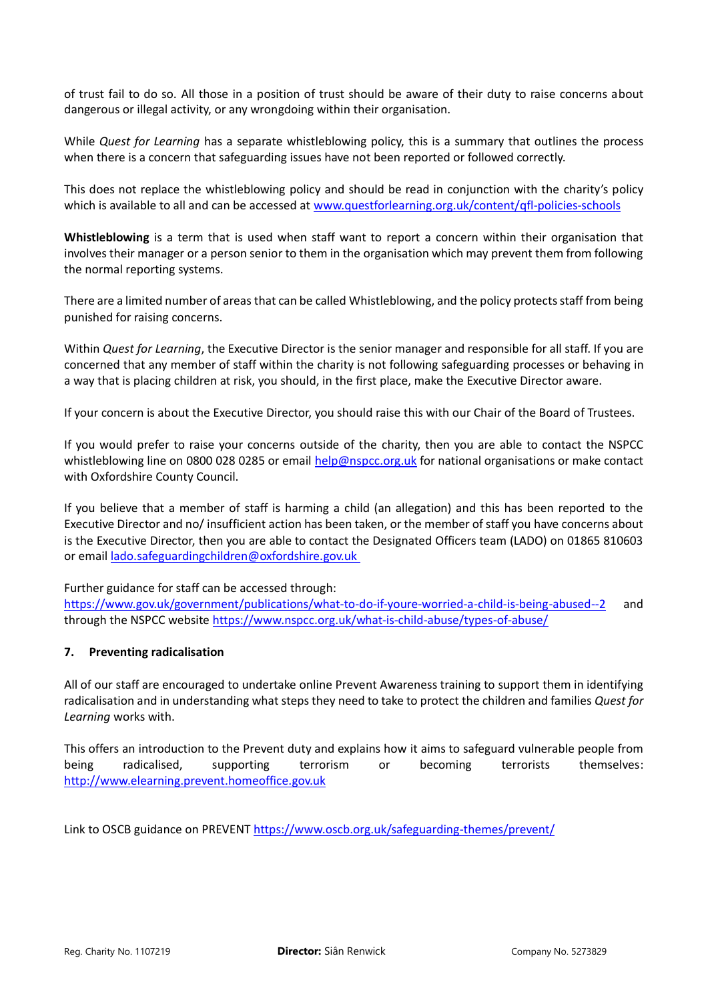of trust fail to do so. All those in a position of trust should be aware of their duty to raise concerns about dangerous or illegal activity, or any wrongdoing within their organisation.

While *Quest for Learning* has a separate whistleblowing policy, this is a summary that outlines the process when there is a concern that safeguarding issues have not been reported or followed correctly.

This does not replace the whistleblowing policy and should be read in conjunction with the charity's policy which is available to all and can be accessed a[t www.questforlearning.org.uk/content/qfl-policies-schools](http://www.questforlearning.org.uk/content/qfl-policies-schools)

**Whistleblowing** is a term that is used when staff want to report a concern within their organisation that involves their manager or a person senior to them in the organisation which may prevent them from following the normal reporting systems.

There are a limited number of areas that can be called Whistleblowing, and the policy protects staff from being punished for raising concerns.

Within *Quest for Learning*, the Executive Director is the senior manager and responsible for all staff. If you are concerned that any member of staff within the charity is not following safeguarding processes or behaving in a way that is placing children at risk, you should, in the first place, make the Executive Director aware.

If your concern is about the Executive Director, you should raise this with our Chair of the Board of Trustees.

If you would prefer to raise your concerns outside of the charity, then you are able to contact the NSPCC whistleblowing line on 0800 028 0285 or email [help@nspcc.org.uk](mailto:help@nspcc.org.uk) for national organisations or make contact with Oxfordshire County Council.

If you believe that a member of staff is harming a child (an allegation) and this has been reported to the Executive Director and no/ insufficient action has been taken, or the member of staff you have concerns about is the Executive Director, then you are able to contact the Designated Officers team (LADO) on 01865 810603 or email [lado.safeguardingchildren@oxfordshire.gov.uk](mailto:lado.safeguardingchildren@oxfordshire.gov.uk)

Further guidance for staff can be accessed through:

<https://www.gov.uk/government/publications/what-to-do-if-youre-worried-a-child-is-being-abused--2> and through the NSPCC website<https://www.nspcc.org.uk/what-is-child-abuse/types-of-abuse/>

### **7. Preventing radicalisation**

All of our staff are encouraged to undertake online Prevent Awareness training to support them in identifying radicalisation and in understanding what steps they need to take to protect the children and families *Quest for Learning* works with.

This offers an introduction to the Prevent duty and explains how it aims to safeguard vulnerable people from being radicalised, supporting terrorism or becoming terrorists themselves: [http://www.elearning.prevent.homeoffice.gov.uk](http://www.elearning.prevent.homeoffice.gov.uk/)

Link to OSCB guidance on PREVENT<https://www.oscb.org.uk/safeguarding-themes/prevent/>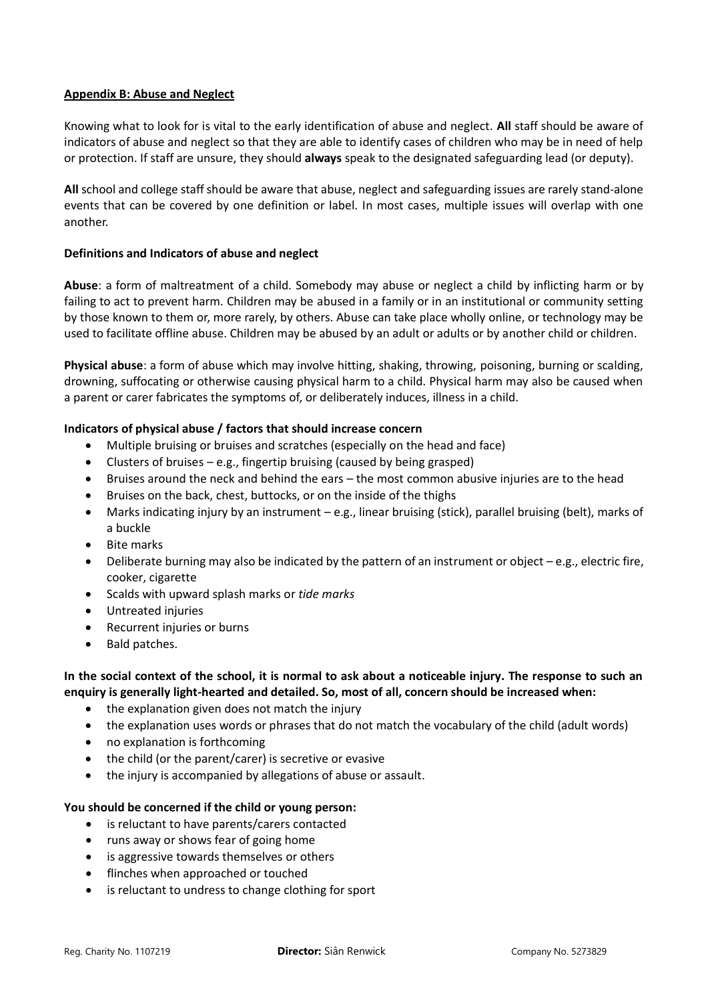## **Appendix B: Abuse and Neglect**

Knowing what to look for is vital to the early identification of abuse and neglect. **All** staff should be aware of indicators of abuse and neglect so that they are able to identify cases of children who may be in need of help or protection. If staff are unsure, they should **always** speak to the designated safeguarding lead (or deputy).

**All** school and college staff should be aware that abuse, neglect and safeguarding issues are rarely stand-alone events that can be covered by one definition or label. In most cases, multiple issues will overlap with one another.

## **Definitions and Indicators of abuse and neglect**

**Abuse**: a form of maltreatment of a child. Somebody may abuse or neglect a child by inflicting harm or by failing to act to prevent harm. Children may be abused in a family or in an institutional or community setting by those known to them or, more rarely, by others. Abuse can take place wholly online, or technology may be used to facilitate offline abuse. Children may be abused by an adult or adults or by another child or children.

**Physical abuse**: a form of abuse which may involve hitting, shaking, throwing, poisoning, burning or scalding, drowning, suffocating or otherwise causing physical harm to a child. Physical harm may also be caused when a parent or carer fabricates the symptoms of, or deliberately induces, illness in a child.

## **Indicators of physical abuse / factors that should increase concern**

- Multiple bruising or bruises and scratches (especially on the head and face)
- Clusters of bruises  $-e.g.,$  fingertip bruising (caused by being grasped)
- Bruises around the neck and behind the ears the most common abusive injuries are to the head
- Bruises on the back, chest, buttocks, or on the inside of the thighs
- Marks indicating injury by an instrument e.g., linear bruising (stick), parallel bruising (belt), marks of a buckle
- Bite marks
- Deliberate burning may also be indicated by the pattern of an instrument or object  $-e.g.,$  electric fire, cooker, cigarette
- Scalds with upward splash marks or *tide marks*
- Untreated injuries
- Recurrent injuries or burns
- Bald patches.

# **In the social context of the school, it is normal to ask about a noticeable injury. The response to such an enquiry is generally light-hearted and detailed. So, most of all, concern should be increased when:**

- the explanation given does not match the injury
- the explanation uses words or phrases that do not match the vocabulary of the child (adult words)
- no explanation is forthcoming
- the child (or the parent/carer) is secretive or evasive
- the injury is accompanied by allegations of abuse or assault.

### **You should be concerned if the child or young person:**

- is reluctant to have parents/carers contacted
- runs away or shows fear of going home
- is aggressive towards themselves or others
- flinches when approached or touched
- is reluctant to undress to change clothing for sport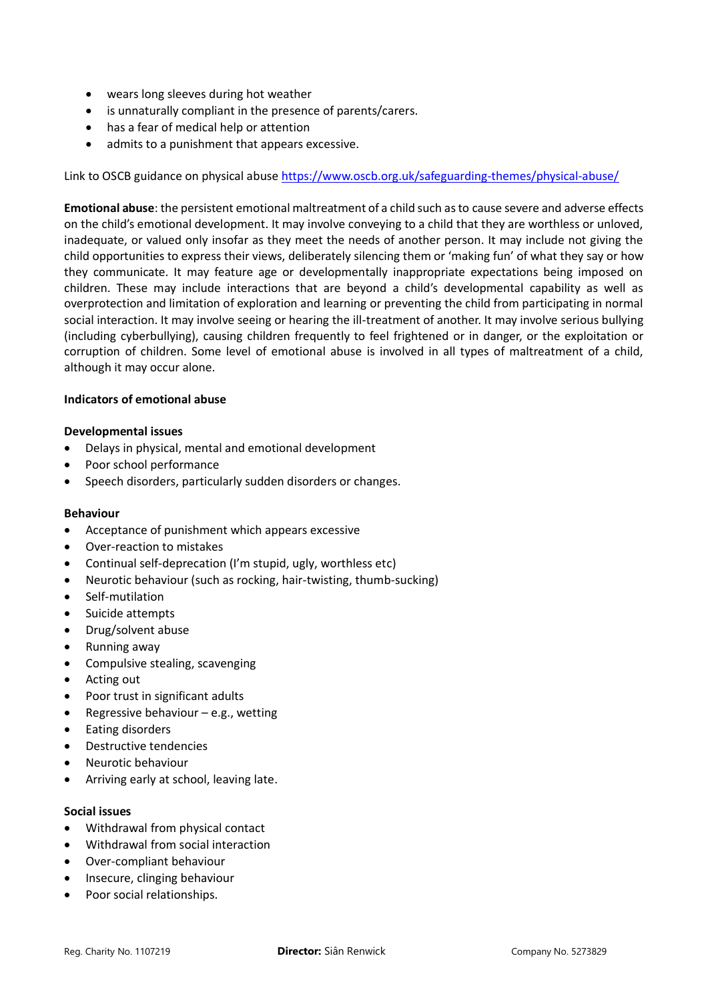- wears long sleeves during hot weather
- is unnaturally compliant in the presence of parents/carers.
- has a fear of medical help or attention
- admits to a punishment that appears excessive.

Link to OSCB guidance on physical abuse<https://www.oscb.org.uk/safeguarding-themes/physical-abuse/>

**Emotional abuse**: the persistent emotional maltreatment of a child such as to cause severe and adverse effects on the child's emotional development. It may involve conveying to a child that they are worthless or unloved, inadequate, or valued only insofar as they meet the needs of another person. It may include not giving the child opportunities to express their views, deliberately silencing them or 'making fun' of what they say or how they communicate. It may feature age or developmentally inappropriate expectations being imposed on children. These may include interactions that are beyond a child's developmental capability as well as overprotection and limitation of exploration and learning or preventing the child from participating in normal social interaction. It may involve seeing or hearing the ill-treatment of another. It may involve serious bullying (including cyberbullying), causing children frequently to feel frightened or in danger, or the exploitation or corruption of children. Some level of emotional abuse is involved in all types of maltreatment of a child, although it may occur alone.

### **Indicators of emotional abuse**

### **Developmental issues**

- Delays in physical, mental and emotional development
- Poor school performance
- Speech disorders, particularly sudden disorders or changes.

### **Behaviour**

- Acceptance of punishment which appears excessive
- Over-reaction to mistakes
- Continual self-deprecation (I'm stupid, ugly, worthless etc)
- Neurotic behaviour (such as rocking, hair-twisting, thumb-sucking)
- Self-mutilation
- Suicide attempts
- Drug/solvent abuse
- Running away
- Compulsive stealing, scavenging
- Acting out
- Poor trust in significant adults
- Regressive behaviour  $-e.g.,$  wetting
- Eating disorders
- Destructive tendencies
- Neurotic behaviour
- Arriving early at school, leaving late.

## **Social issues**

- Withdrawal from physical contact
- Withdrawal from social interaction
- Over-compliant behaviour
- Insecure, clinging behaviour
- Poor social relationships.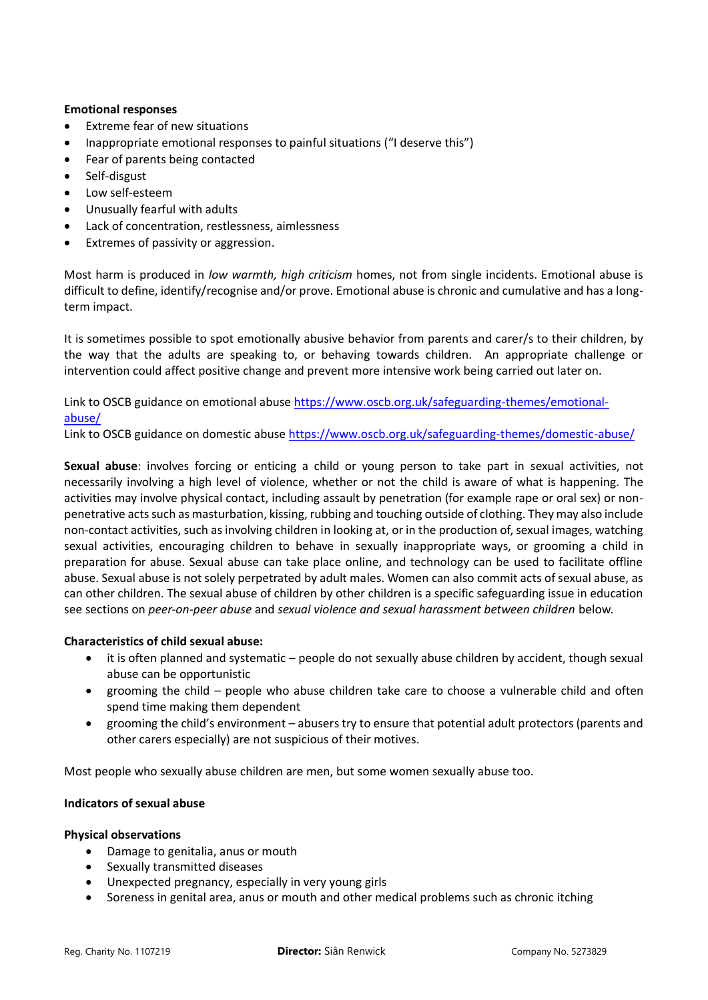### **Emotional responses**

- Extreme fear of new situations
- Inappropriate emotional responses to painful situations ("I deserve this")
- Fear of parents being contacted
- Self-disgust
- Low self-esteem
- Unusually fearful with adults
- Lack of concentration, restlessness, aimlessness
- Extremes of passivity or aggression.

Most harm is produced in *low warmth, high criticism* homes, not from single incidents. Emotional abuse is difficult to define, identify/recognise and/or prove. Emotional abuse is chronic and cumulative and has a longterm impact.

It is sometimes possible to spot emotionally abusive behavior from parents and carer/s to their children, by the way that the adults are speaking to, or behaving towards children. An appropriate challenge or intervention could affect positive change and prevent more intensive work being carried out later on.

Link to OSCB guidance on emotional abuse [https://www.oscb.org.uk/safeguarding-themes/emotional](https://www.oscb.org.uk/safeguarding-themes/emotional-abuse/)[abuse/](https://www.oscb.org.uk/safeguarding-themes/emotional-abuse/)

Link to OSCB guidance on domestic abus[e https://www.oscb.org.uk/safeguarding-themes/domestic-abuse/](https://www.oscb.org.uk/safeguarding-themes/domestic-abuse/)

**Sexual abuse**: involves forcing or enticing a child or young person to take part in sexual activities, not necessarily involving a high level of violence, whether or not the child is aware of what is happening. The activities may involve physical contact, including assault by penetration (for example rape or oral sex) or nonpenetrative acts such as masturbation, kissing, rubbing and touching outside of clothing. They may also include non-contact activities, such as involving children in looking at, or in the production of, sexual images, watching sexual activities, encouraging children to behave in sexually inappropriate ways, or grooming a child in preparation for abuse. Sexual abuse can take place online, and technology can be used to facilitate offline abuse. Sexual abuse is not solely perpetrated by adult males. Women can also commit acts of sexual abuse, as can other children. The sexual abuse of children by other children is a specific safeguarding issue in education see sections on *peer-on-peer abuse* and *sexual violence and sexual harassment between children* below.

### **Characteristics of child sexual abuse:**

- it is often planned and systematic people do not sexually abuse children by accident, though sexual abuse can be opportunistic
- grooming the child people who abuse children take care to choose a vulnerable child and often spend time making them dependent
- grooming the child's environment abusers try to ensure that potential adult protectors (parents and other carers especially) are not suspicious of their motives.

Most people who sexually abuse children are men, but some women sexually abuse too.

### **Indicators of sexual abuse**

### **Physical observations**

- Damage to genitalia, anus or mouth
- Sexually transmitted diseases
- Unexpected pregnancy, especially in very young girls
- Soreness in genital area, anus or mouth and other medical problems such as chronic itching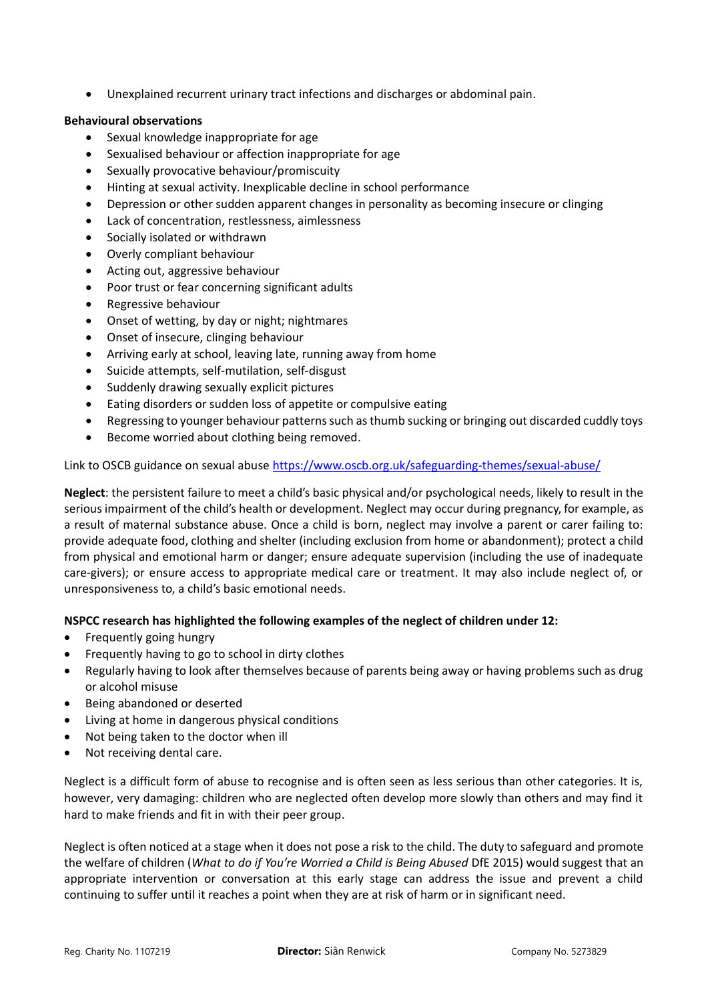• Unexplained recurrent urinary tract infections and discharges or abdominal pain.

### **Behavioural observations**

- Sexual knowledge inappropriate for age
- Sexualised behaviour or affection inappropriate for age
- Sexually provocative behaviour/promiscuity
- Hinting at sexual activity. Inexplicable decline in school performance
- Depression or other sudden apparent changes in personality as becoming insecure or clinging
- Lack of concentration, restlessness, aimlessness
- Socially isolated or withdrawn
- Overly compliant behaviour
- Acting out, aggressive behaviour
- Poor trust or fear concerning significant adults
- Regressive behaviour
- Onset of wetting, by day or night; nightmares
- Onset of insecure, clinging behaviour
- Arriving early at school, leaving late, running away from home
- Suicide attempts, self-mutilation, self-disgust
- Suddenly drawing sexually explicit pictures
- Eating disorders or sudden loss of appetite or compulsive eating
- Regressing to younger behaviour patterns such as thumb sucking or bringing out discarded cuddly toys
- Become worried about clothing being removed.

Link to OSCB guidance on sexual abuse<https://www.oscb.org.uk/safeguarding-themes/sexual-abuse/>

**Neglect**: the persistent failure to meet a child's basic physical and/or psychological needs, likely to result in the serious impairment of the child's health or development. Neglect may occur during pregnancy, for example, as a result of maternal substance abuse. Once a child is born, neglect may involve a parent or carer failing to: provide adequate food, clothing and shelter (including exclusion from home or abandonment); protect a child from physical and emotional harm or danger; ensure adequate supervision (including the use of inadequate care-givers); or ensure access to appropriate medical care or treatment. It may also include neglect of, or unresponsiveness to, a child's basic emotional needs.

### **NSPCC research has highlighted the following examples of the neglect of children under 12:**

- Frequently going hungry
- Frequently having to go to school in dirty clothes
- Regularly having to look after themselves because of parents being away or having problems such as drug or alcohol misuse
- Being abandoned or deserted
- Living at home in dangerous physical conditions
- Not being taken to the doctor when ill
- Not receiving dental care.

Neglect is a difficult form of abuse to recognise and is often seen as less serious than other categories. It is, however, very damaging: children who are neglected often develop more slowly than others and may find it hard to make friends and fit in with their peer group.

Neglect is often noticed at a stage when it does not pose a risk to the child. The duty to safeguard and promote the welfare of children (*What to do if You're Worried a Child is Being Abused* DfE 2015) would suggest that an appropriate intervention or conversation at this early stage can address the issue and prevent a child continuing to suffer until it reaches a point when they are at risk of harm or in significant need.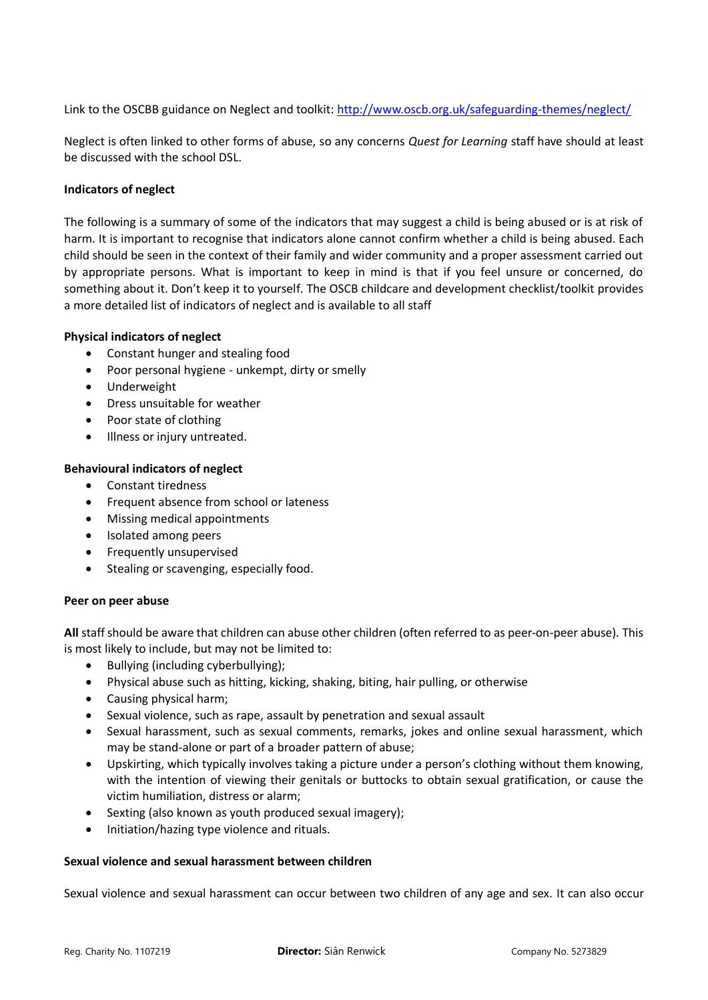Link to the OSCBB guidance on Neglect and toolkit: http://www.oscb.org.uk/safeguarding-themes/neglect/

Neglect is often linked to other forms of abuse, so any concerns *Quest for Learning* staff have should at least be discussed with the school DSL.

#### **Indicators of neglect**

The following is a summary of some of the indicators that may suggest a child is being abused or is at risk of harm. It is important to recognise that indicators alone cannot confirm whether a child is being abused. Each child should be seen in the context of their family and wider community and a proper assessment carried out by appropriate persons. What is important to keep in mind is that if you feel unsure or concerned, do something about it. Don't keep it to yourself. The OSCB childcare and development checklist/toolkit provides a more detailed list of indicators of neglect and is available to all staff

#### **Physical indicators of neglect**

- Constant hunger and stealing food
- Poor personal hygiene unkempt, dirty or smelly
- Underweight
- Dress unsuitable for weather
- Poor state of clothing
- Illness or injury untreated.

### **Behavioural indicators of neglect**

- Constant tiredness
- Frequent absence from school or lateness
- Missing medical appointments
- Isolated among peers
- Frequently unsupervised
- Stealing or scavenging, especially food.

### **Peer on peer abuse**

**All** staff should be aware that children can abuse other children (often referred to as peer-on-peer abuse). This is most likely to include, but may not be limited to:

- Bullying (including cyberbullying);
- Physical abuse such as hitting, kicking, shaking, biting, hair pulling, or otherwise
- Causing physical harm;
- Sexual violence, such as rape, assault by penetration and sexual assault
- Sexual harassment, such as sexual comments, remarks, jokes and online sexual harassment, which may be stand-alone or part of a broader pattern of abuse;
- Upskirting, which typically involves taking a picture under a person's clothing without them knowing, with the intention of viewing their genitals or buttocks to obtain sexual gratification, or cause the victim humiliation, distress or alarm;
- Sexting (also known as youth produced sexual imagery);
- Initiation/hazing type violence and rituals.

### **Sexual violence and sexual harassment between children**

Sexual violence and sexual harassment can occur between two children of any age and sex. It can also occur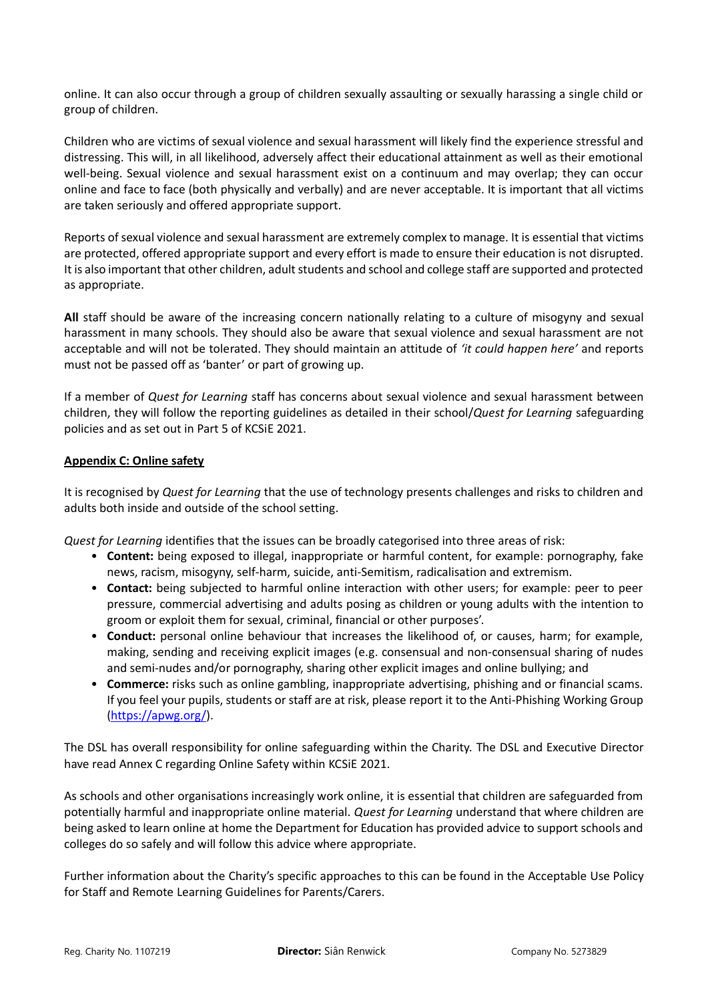online. It can also occur through a group of children sexually assaulting or sexually harassing a single child or group of children.

Children who are victims of sexual violence and sexual harassment will likely find the experience stressful and distressing. This will, in all likelihood, adversely affect their educational attainment as well as their emotional well-being. Sexual violence and sexual harassment exist on a continuum and may overlap; they can occur online and face to face (both physically and verbally) and are never acceptable. It is important that all victims are taken seriously and offered appropriate support.

Reports of sexual violence and sexual harassment are extremely complex to manage. It is essential that victims are protected, offered appropriate support and every effort is made to ensure their education is not disrupted. It is also important that other children, adult students and school and college staff are supported and protected as appropriate.

**All** staff should be aware of the increasing concern nationally relating to a culture of misogyny and sexual harassment in many schools. They should also be aware that sexual violence and sexual harassment are not acceptable and will not be tolerated. They should maintain an attitude of *'it could happen here'* and reports must not be passed off as 'banter' or part of growing up.

If a member of *Quest for Learning* staff has concerns about sexual violence and sexual harassment between children, they will follow the reporting guidelines as detailed in their school/*Quest for Learning* safeguarding policies and as set out in Part 5 of KCSiE 2021.

## **Appendix C: Online safety**

It is recognised by *Quest for Learning* that the use of technology presents challenges and risks to children and adults both inside and outside of the school setting.

*Quest for Learning* identifies that the issues can be broadly categorised into three areas of risk:

- **Content:** being exposed to illegal, inappropriate or harmful content, for example: pornography, fake news, racism, misogyny, self-harm, suicide, anti-Semitism, radicalisation and extremism.
- **Contact:** being subjected to harmful online interaction with other users; for example: peer to peer pressure, commercial advertising and adults posing as children or young adults with the intention to groom or exploit them for sexual, criminal, financial or other purposes'.
- **Conduct:** personal online behaviour that increases the likelihood of, or causes, harm; for example, making, sending and receiving explicit images (e.g. consensual and non-consensual sharing of nudes and semi-nudes and/or pornography, sharing other explicit images and online bullying; and
- **Commerce:** risks such as online gambling, inappropriate advertising, phishing and or financial scams. If you feel your pupils, students or staff are at risk, please report it to the Anti-Phishing Working Group [\(https://apwg.org/\)](https://apwg.org/).

The DSL has overall responsibility for online safeguarding within the Charity. The DSL and Executive Director have read Annex C regarding Online Safety within KCSiE 2021.

As schools and other organisations increasingly work online, it is essential that children are safeguarded from potentially harmful and inappropriate online material. *Quest for Learning* understand that where children are being asked to learn online at home the Department for Education has provided advice to support schools and colleges do so safely and will follow this advice where appropriate.

Further information about the Charity's specific approaches to this can be found in the Acceptable Use Policy for Staff and Remote Learning Guidelines for Parents/Carers.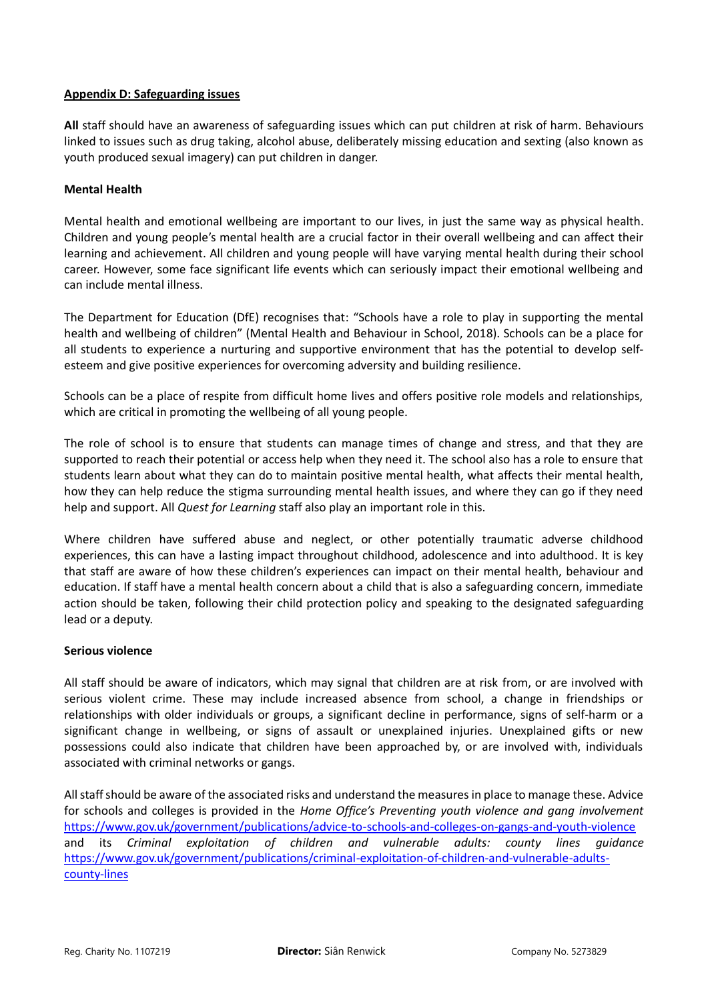### **Appendix D: Safeguarding issues**

**All** staff should have an awareness of safeguarding issues which can put children at risk of harm. Behaviours linked to issues such as drug taking, alcohol abuse, deliberately missing education and sexting (also known as youth produced sexual imagery) can put children in danger.

### **Mental Health**

Mental health and emotional wellbeing are important to our lives, in just the same way as physical health. Children and young people's mental health are a crucial factor in their overall wellbeing and can affect their learning and achievement. All children and young people will have varying mental health during their school career. However, some face significant life events which can seriously impact their emotional wellbeing and can include mental illness.

The Department for Education (DfE) recognises that: "Schools have a role to play in supporting the mental health and wellbeing of children" (Mental Health and Behaviour in School, 2018). Schools can be a place for all students to experience a nurturing and supportive environment that has the potential to develop selfesteem and give positive experiences for overcoming adversity and building resilience.

Schools can be a place of respite from difficult home lives and offers positive role models and relationships, which are critical in promoting the wellbeing of all young people.

The role of school is to ensure that students can manage times of change and stress, and that they are supported to reach their potential or access help when they need it. The school also has a role to ensure that students learn about what they can do to maintain positive mental health, what affects their mental health, how they can help reduce the stigma surrounding mental health issues, and where they can go if they need help and support. All *Quest for Learning* staff also play an important role in this.

Where children have suffered abuse and neglect, or other potentially traumatic adverse childhood experiences, this can have a lasting impact throughout childhood, adolescence and into adulthood. It is key that staff are aware of how these children's experiences can impact on their mental health, behaviour and education. If staff have a mental health concern about a child that is also a safeguarding concern, immediate action should be taken, following their child protection policy and speaking to the designated safeguarding lead or a deputy.

### **Serious violence**

All staff should be aware of indicators, which may signal that children are at risk from, or are involved with serious violent crime. These may include increased absence from school, a change in friendships or relationships with older individuals or groups, a significant decline in performance, signs of self-harm or a significant change in wellbeing, or signs of assault or unexplained injuries. Unexplained gifts or new possessions could also indicate that children have been approached by, or are involved with, individuals associated with criminal networks or gangs.

All staff should be aware of the associated risks and understand the measures in place to manage these. Advice for schools and colleges is provided in the *Home Office's Preventing youth violence and gang involvement* <https://www.gov.uk/government/publications/advice-to-schools-and-colleges-on-gangs-and-youth-violence> and its *Criminal exploitation of children and vulnerable adults: county lines guidance* [https://www.gov.uk/government/publications/criminal-exploitation-of-children-and-vulnerable-adults](https://www.gov.uk/government/publications/criminal-exploitation-of-children-and-vulnerable-adults-county-lines)[county-lines](https://www.gov.uk/government/publications/criminal-exploitation-of-children-and-vulnerable-adults-county-lines)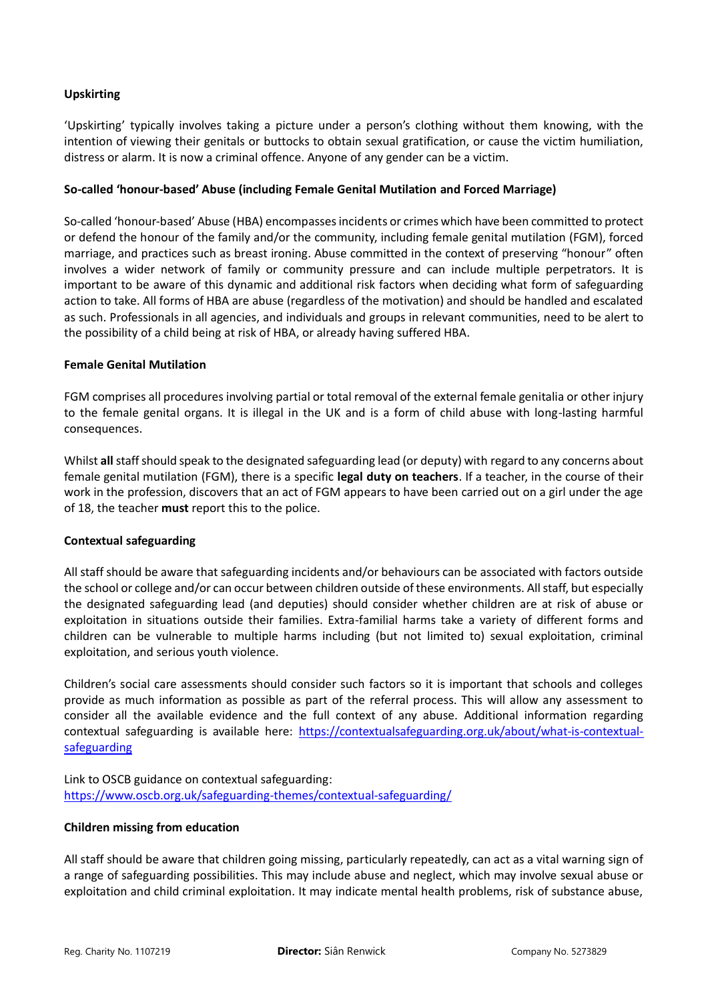## **Upskirting**

'Upskirting' typically involves taking a picture under a person's clothing without them knowing, with the intention of viewing their genitals or buttocks to obtain sexual gratification, or cause the victim humiliation, distress or alarm. It is now a criminal offence. Anyone of any gender can be a victim.

### **So-called 'honour-based' Abuse (including Female Genital Mutilation and Forced Marriage)**

So-called 'honour-based' Abuse (HBA) encompasses incidents or crimes which have been committed to protect or defend the honour of the family and/or the community, including female genital mutilation (FGM), forced marriage, and practices such as breast ironing. Abuse committed in the context of preserving "honour" often involves a wider network of family or community pressure and can include multiple perpetrators. It is important to be aware of this dynamic and additional risk factors when deciding what form of safeguarding action to take. All forms of HBA are abuse (regardless of the motivation) and should be handled and escalated as such. Professionals in all agencies, and individuals and groups in relevant communities, need to be alert to the possibility of a child being at risk of HBA, or already having suffered HBA.

### **Female Genital Mutilation**

FGM comprises all procedures involving partial or total removal of the external female genitalia or other injury to the female genital organs. It is illegal in the UK and is a form of child abuse with long-lasting harmful consequences.

Whilst **all** staff should speak to the designated safeguarding lead (or deputy) with regard to any concerns about female genital mutilation (FGM), there is a specific **legal duty on teachers**. If a teacher, in the course of their work in the profession, discovers that an act of FGM appears to have been carried out on a girl under the age of 18, the teacher **must** report this to the police.

### **Contextual safeguarding**

All staff should be aware that safeguarding incidents and/or behaviours can be associated with factors outside the school or college and/or can occur between children outside of these environments. All staff, but especially the designated safeguarding lead (and deputies) should consider whether children are at risk of abuse or exploitation in situations outside their families. Extra-familial harms take a variety of different forms and children can be vulnerable to multiple harms including (but not limited to) sexual exploitation, criminal exploitation, and serious youth violence.

Children's social care assessments should consider such factors so it is important that schools and colleges provide as much information as possible as part of the referral process. This will allow any assessment to consider all the available evidence and the full context of any abuse. Additional information regarding contextual safeguarding is available here: [https://contextualsafeguarding.org.uk/about/what-is-contextual](https://contextualsafeguarding.org.uk/about/what-is-contextual-safeguarding)[safeguarding](https://contextualsafeguarding.org.uk/about/what-is-contextual-safeguarding)

Link to OSCB guidance on contextual safeguarding: <https://www.oscb.org.uk/safeguarding-themes/contextual-safeguarding/>

### **Children missing from education**

All staff should be aware that children going missing, particularly repeatedly, can act as a vital warning sign of a range of safeguarding possibilities. This may include abuse and neglect, which may involve sexual abuse or exploitation and child criminal exploitation. It may indicate mental health problems, risk of substance abuse,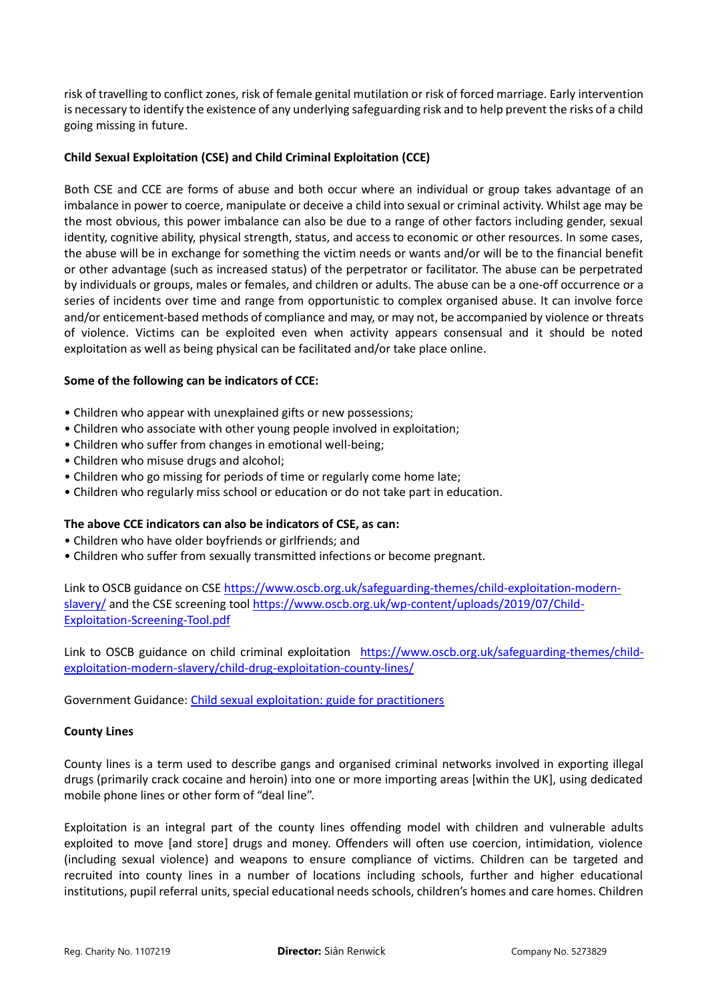risk of travelling to conflict zones, risk of female genital mutilation or risk of forced marriage. Early intervention is necessary to identify the existence of any underlying safeguarding risk and to help prevent the risks of a child going missing in future.

## **Child Sexual Exploitation (CSE) and Child Criminal Exploitation (CCE)**

Both CSE and CCE are forms of abuse and both occur where an individual or group takes advantage of an imbalance in power to coerce, manipulate or deceive a child into sexual or criminal activity. Whilst age may be the most obvious, this power imbalance can also be due to a range of other factors including gender, sexual identity, cognitive ability, physical strength, status, and access to economic or other resources. In some cases, the abuse will be in exchange for something the victim needs or wants and/or will be to the financial benefit or other advantage (such as increased status) of the perpetrator or facilitator. The abuse can be perpetrated by individuals or groups, males or females, and children or adults. The abuse can be a one-off occurrence or a series of incidents over time and range from opportunistic to complex organised abuse. It can involve force and/or enticement-based methods of compliance and may, or may not, be accompanied by violence or threats of violence. Victims can be exploited even when activity appears consensual and it should be noted exploitation as well as being physical can be facilitated and/or take place online.

### **Some of the following can be indicators of CCE:**

- Children who appear with unexplained gifts or new possessions;
- Children who associate with other young people involved in exploitation;
- Children who suffer from changes in emotional well-being;
- Children who misuse drugs and alcohol;
- Children who go missing for periods of time or regularly come home late;
- Children who regularly miss school or education or do not take part in education.

### **The above CCE indicators can also be indicators of CSE, as can:**

- Children who have older boyfriends or girlfriends; and
- Children who suffer from sexually transmitted infections or become pregnant.

Link to OSCB guidance on CS[E https://www.oscb.org.uk/safeguarding-themes/child-exploitation-modern](https://www.oscb.org.uk/safeguarding-themes/child-exploitation-modern-slavery/)[slavery/](https://www.oscb.org.uk/safeguarding-themes/child-exploitation-modern-slavery/) and the CSE screening tool [https://www.oscb.org.uk/wp-content/uploads/2019/07/Child-](https://www.oscb.org.uk/wp-content/uploads/2019/07/Child-Exploitation-Screening-Tool.pdf)[Exploitation-Screening-Tool.pdf](https://www.oscb.org.uk/wp-content/uploads/2019/07/Child-Exploitation-Screening-Tool.pdf)

Link to OSCB guidance on child criminal exploitation [https://www.oscb.org.uk/safeguarding-themes/child](https://www.oscb.org.uk/safeguarding-themes/child-exploitation-modern-slavery/child-drug-exploitation-county-lines/)[exploitation-modern-slavery/child-drug-exploitation-county-lines/](https://www.oscb.org.uk/safeguarding-themes/child-exploitation-modern-slavery/child-drug-exploitation-county-lines/)

Government Guidance: [Child sexual exploitation: guide for practitioners](https://www.gov.uk/government/publications/child-sexual-exploitation-definition-and-guide-for-practitioners)

### **County Lines**

County lines is a term used to describe gangs and organised criminal networks involved in exporting illegal drugs (primarily crack cocaine and heroin) into one or more importing areas [within the UK], using dedicated mobile phone lines or other form of "deal line".

Exploitation is an integral part of the county lines offending model with children and vulnerable adults exploited to move [and store] drugs and money. Offenders will often use coercion, intimidation, violence (including sexual violence) and weapons to ensure compliance of victims. Children can be targeted and recruited into county lines in a number of locations including schools, further and higher educational institutions, pupil referral units, special educational needs schools, children's homes and care homes. Children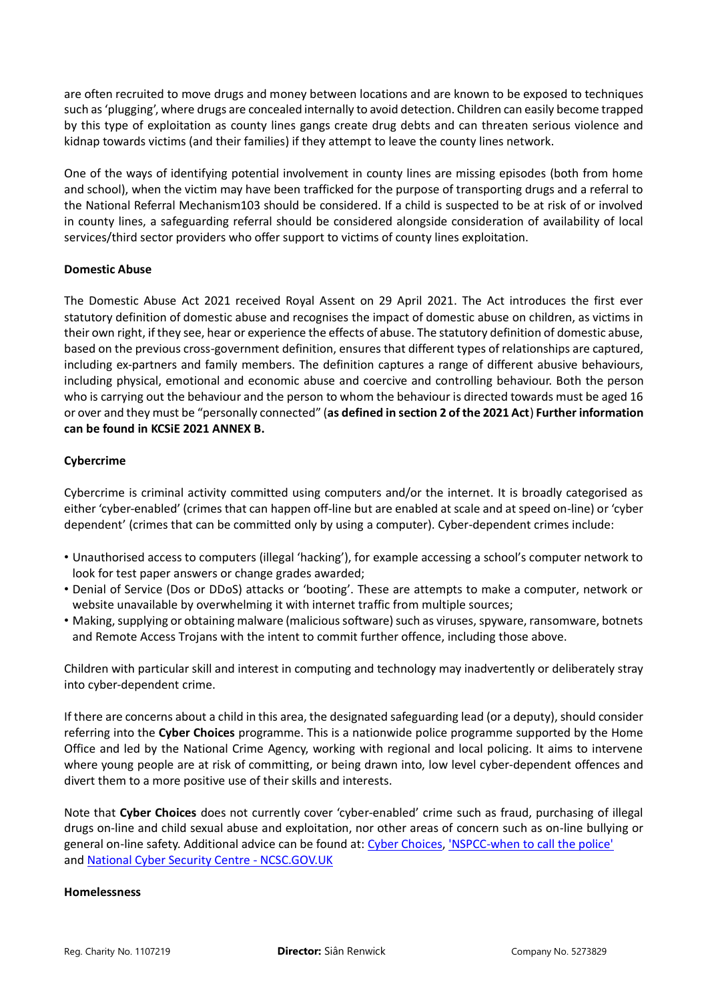are often recruited to move drugs and money between locations and are known to be exposed to techniques such as 'plugging', where drugs are concealed internally to avoid detection. Children can easily become trapped by this type of exploitation as county lines gangs create drug debts and can threaten serious violence and kidnap towards victims (and their families) if they attempt to leave the county lines network.

One of the ways of identifying potential involvement in county lines are missing episodes (both from home and school), when the victim may have been trafficked for the purpose of transporting drugs and a referral to the National Referral Mechanism103 should be considered. If a child is suspected to be at risk of or involved in county lines, a safeguarding referral should be considered alongside consideration of availability of local services/third sector providers who offer support to victims of county lines exploitation.

### **Domestic Abuse**

The Domestic Abuse Act 2021 received Royal Assent on 29 April 2021. The Act introduces the first ever statutory definition of domestic abuse and recognises the impact of domestic abuse on children, as victims in their own right, if they see, hear or experience the effects of abuse. The statutory definition of domestic abuse, based on the previous cross-government definition, ensures that different types of relationships are captured, including ex-partners and family members. The definition captures a range of different abusive behaviours, including physical, emotional and economic abuse and coercive and controlling behaviour. Both the person who is carrying out the behaviour and the person to whom the behaviour is directed towards must be aged 16 or over and they must be "personally connected" (**as defined in section 2 of the 2021 Act**) **Further information can be found in KCSiE 2021 ANNEX B.**

# **Cybercrime**

Cybercrime is criminal activity committed using computers and/or the internet. It is broadly categorised as either 'cyber-enabled' (crimes that can happen off-line but are enabled at scale and at speed on-line) or 'cyber dependent' (crimes that can be committed only by using a computer). Cyber-dependent crimes include:

- Unauthorised access to computers (illegal 'hacking'), for example accessing a school's computer network to look for test paper answers or change grades awarded;
- Denial of Service (Dos or DDoS) attacks or 'booting'. These are attempts to make a computer, network or website unavailable by overwhelming it with internet traffic from multiple sources;
- Making, supplying or obtaining malware (malicious software) such as viruses, spyware, ransomware, botnets and Remote Access Trojans with the intent to commit further offence, including those above.

Children with particular skill and interest in computing and technology may inadvertently or deliberately stray into cyber-dependent crime.

If there are concerns about a child in this area, the designated safeguarding lead (or a deputy), should consider referring into the **Cyber Choices** programme. This is a nationwide police programme supported by the Home Office and led by the National Crime Agency, working with regional and local policing. It aims to intervene where young people are at risk of committing, or being drawn into, low level cyber-dependent offences and divert them to a more positive use of their skills and interests.

Note that **Cyber Choices** does not currently cover 'cyber-enabled' crime such as fraud, purchasing of illegal drugs on-line and child sexual abuse and exploitation, nor other areas of concern such as on-line bullying or general on-line safety. Additional advice can be found at: [Cyber Choices,](http://www.cyberchoices.uk/) ['NSPCC-when to call the police'](https://www.npcc.police.uk/documents/Children%20and%20Young%20people/When%20to%20call%20the%20police%20guidance%20for%20schools%20and%20colleges.pdf) and [National Cyber Security Centre -](https://www.ncsc.gov.uk/) NCSC.GOV.UK

### **Homelessness**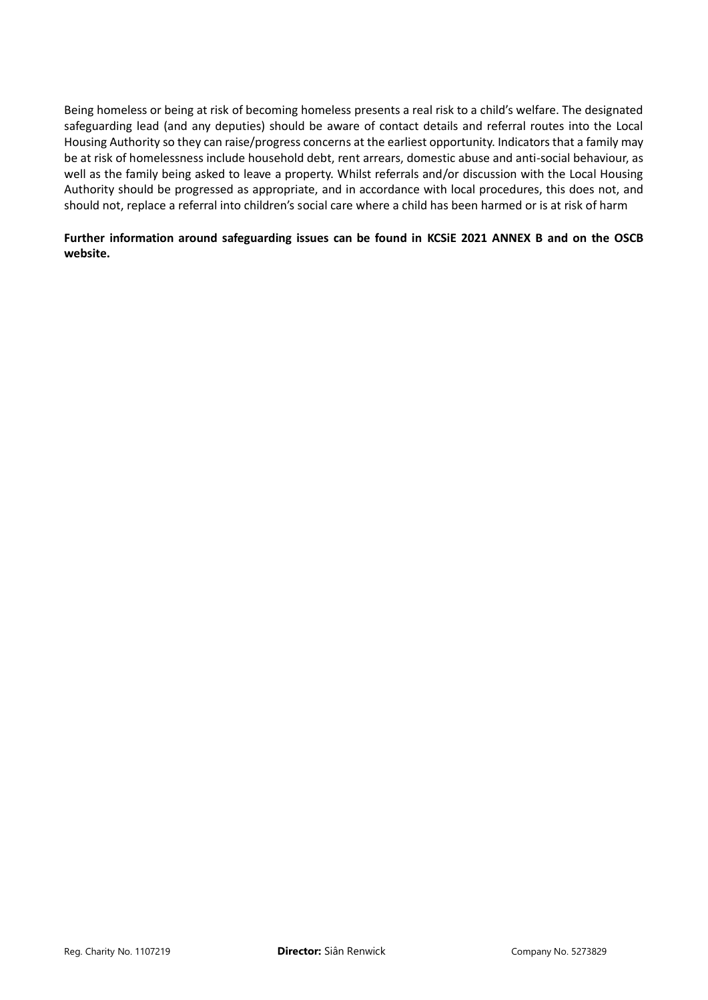Being homeless or being at risk of becoming homeless presents a real risk to a child's welfare. The designated safeguarding lead (and any deputies) should be aware of contact details and referral routes into the Local Housing Authority so they can raise/progress concerns at the earliest opportunity. Indicators that a family may be at risk of homelessness include household debt, rent arrears, domestic abuse and anti-social behaviour, as well as the family being asked to leave a property. Whilst referrals and/or discussion with the Local Housing Authority should be progressed as appropriate, and in accordance with local procedures, this does not, and should not, replace a referral into children's social care where a child has been harmed or is at risk of harm

## **Further information around safeguarding issues can be found in KCSiE 2021 ANNEX B and on the OSCB website.**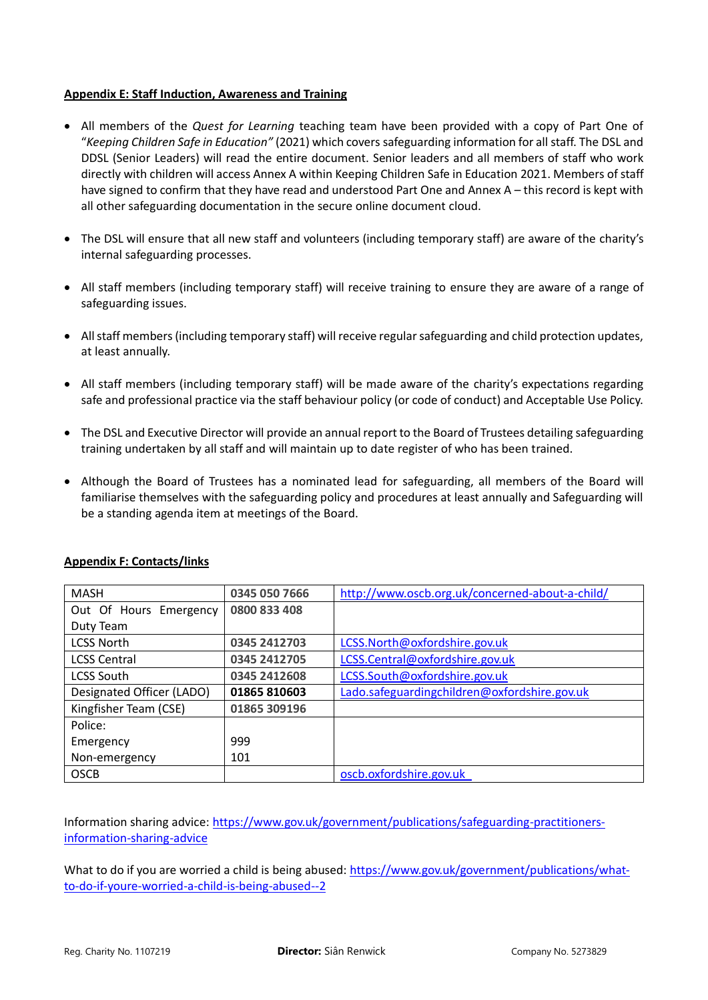### **Appendix E: Staff Induction, Awareness and Training**

- All members of the *Quest for Learning* teaching team have been provided with a copy of Part One of "*Keeping Children Safe in Education"* (2021) which covers safeguarding information for all staff. The DSL and DDSL (Senior Leaders) will read the entire document. Senior leaders and all members of staff who work directly with children will access Annex A within Keeping Children Safe in Education 2021. Members of staff have signed to confirm that they have read and understood Part One and Annex A – this record is kept with all other safeguarding documentation in the secure online document cloud.
- The DSL will ensure that all new staff and volunteers (including temporary staff) are aware of the charity's internal safeguarding processes.
- All staff members (including temporary staff) will receive training to ensure they are aware of a range of safeguarding issues.
- All staff members (including temporary staff) will receive regular safeguarding and child protection updates, at least annually.
- All staff members (including temporary staff) will be made aware of the charity's expectations regarding safe and professional practice via the staff behaviour policy (or code of conduct) and Acceptable Use Policy.
- The DSL and Executive Director will provide an annual report to the Board of Trustees detailing safeguarding training undertaken by all staff and will maintain up to date register of who has been trained.
- Although the Board of Trustees has a nominated lead for safeguarding, all members of the Board will familiarise themselves with the safeguarding policy and procedures at least annually and Safeguarding will be a standing agenda item at meetings of the Board.

| <b>MASH</b>               | 0345 050 7666 | http://www.oscb.org.uk/concerned-about-a-child/ |
|---------------------------|---------------|-------------------------------------------------|
| Out Of Hours Emergency    | 0800 833 408  |                                                 |
| Duty Team                 |               |                                                 |
| <b>LCSS North</b>         | 0345 2412703  | LCSS.North@oxfordshire.gov.uk                   |
| <b>LCSS Central</b>       | 0345 2412705  | LCSS.Central@oxfordshire.gov.uk                 |
| <b>LCSS South</b>         | 0345 2412608  | LCSS.South@oxfordshire.gov.uk                   |
| Designated Officer (LADO) | 01865 810603  | Lado.safeguardingchildren@oxfordshire.gov.uk    |
| Kingfisher Team (CSE)     | 01865 309196  |                                                 |
| Police:                   |               |                                                 |
| Emergency                 | 999           |                                                 |
| Non-emergency             | 101           |                                                 |
| <b>OSCB</b>               |               | oscb.oxfordshire.gov.uk                         |

### **Appendix F: Contacts/links**

Information sharing advice[: https://www.gov.uk/government/publications/safeguarding-practitioners](https://www.gov.uk/government/publications/safeguarding-practitioners-information-sharing-advice)[information-sharing-advice](https://www.gov.uk/government/publications/safeguarding-practitioners-information-sharing-advice)

What to do if you are worried a child is being abused: [https://www.gov.uk/government/publications/what](https://www.gov.uk/government/publications/what-to-do-if-youre-worried-a-child-is-being-abused--2)[to-do-if-youre-worried-a-child-is-being-abused--2](https://www.gov.uk/government/publications/what-to-do-if-youre-worried-a-child-is-being-abused--2)